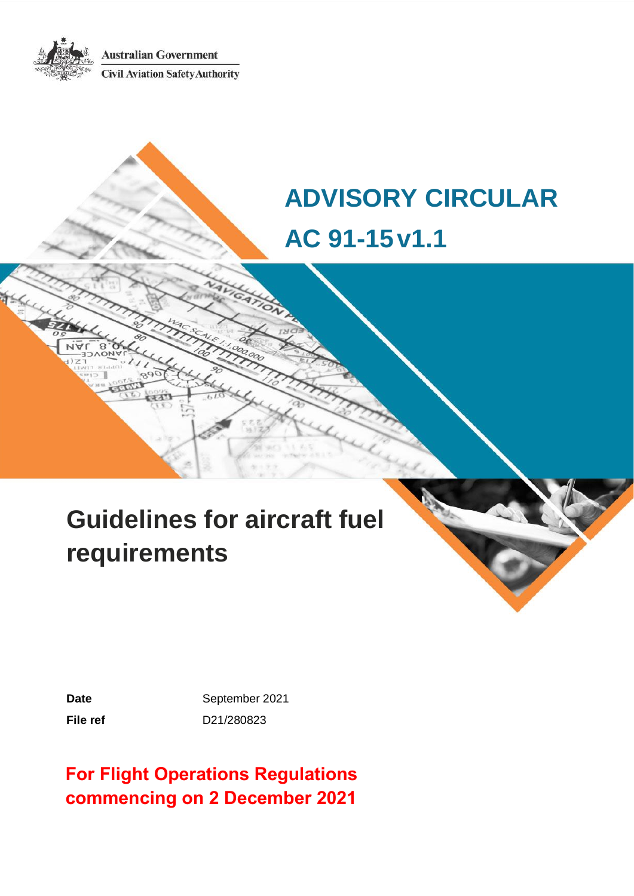**Australian Government Civil Aviation Safety Authority** 

# **ADVISORY CIRCULAR AC 91-15v1.1**

# **Guidelines for aircraft fuel requirements**

Date **Date** September 2021 **File ref** D21/280823

**For Flight Operations Regulations commencing on 2 December 2021**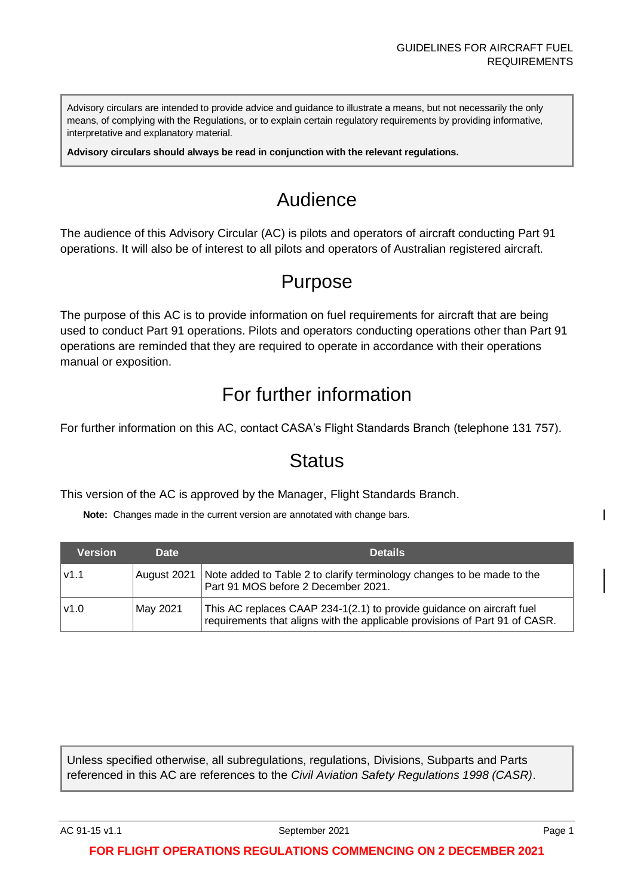Advisory circulars are intended to provide advice and guidance to illustrate a means, but not necessarily the only means, of complying with the Regulations, or to explain certain regulatory requirements by providing informative, interpretative and explanatory material.

**Advisory circulars should always be read in conjunction with the relevant regulations.**

# Audience

The audience of this Advisory Circular (AC) is pilots and operators of aircraft conducting Part 91 operations. It will also be of interest to all pilots and operators of Australian registered aircraft.

# Purpose

The purpose of this AC is to provide information on fuel requirements for aircraft that are being used to conduct Part 91 operations. Pilots and operators conducting operations other than Part 91 operations are reminded that they are required to operate in accordance with their operations manual or exposition.

# For further information

For further information on this AC, contact CASA's Flight Standards Branch (telephone 131 757).

# Status

This version of the AC is approved by the Manager, Flight Standards Branch.

**Note:** Changes made in the current version are annotated with change bars.

| Version | <b>Date</b> | <b>Details</b>                                                                                                                                       |
|---------|-------------|------------------------------------------------------------------------------------------------------------------------------------------------------|
| v1.1    |             | August 2021 Note added to Table 2 to clarify terminology changes to be made to the<br>Part 91 MOS before 2 December 2021.                            |
| v1.0    | May 2021    | This AC replaces CAAP 234-1(2.1) to provide guidance on aircraft fuel<br>requirements that aligns with the applicable provisions of Part 91 of CASR. |

Unless specified otherwise, all subregulations, regulations, Divisions, Subparts and Parts referenced in this AC are references to the *Civil Aviation Safety Regulations 1998 (CASR)*.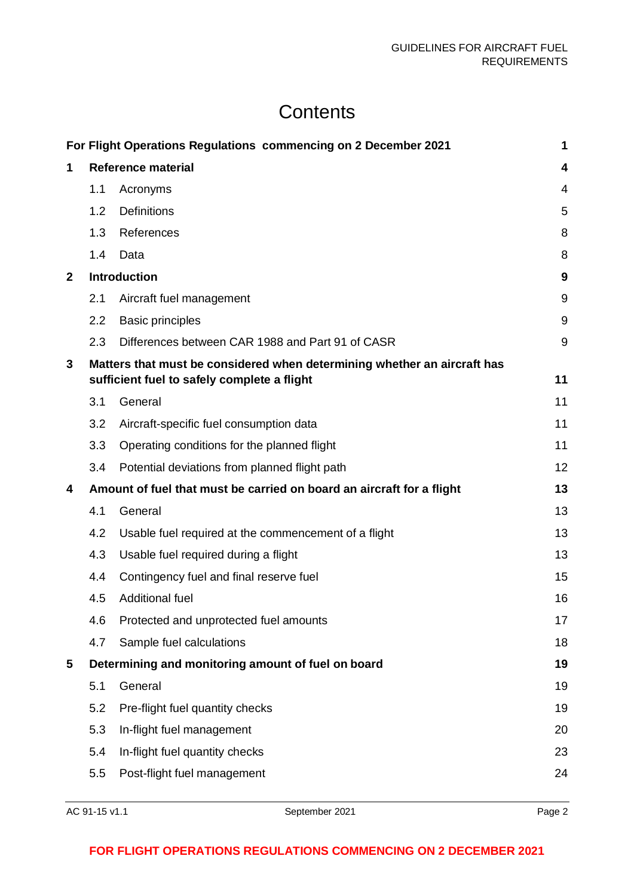# **Contents**

|              |     | For Flight Operations Regulations commencing on 2 December 2021                                                         | 1              |
|--------------|-----|-------------------------------------------------------------------------------------------------------------------------|----------------|
| 1            |     | <b>Reference material</b>                                                                                               | 4              |
|              | 1.1 | Acronyms                                                                                                                | $\overline{4}$ |
|              | 1.2 | <b>Definitions</b>                                                                                                      | 5              |
|              | 1.3 | References                                                                                                              | 8              |
|              | 1.4 | Data                                                                                                                    | 8              |
| $\mathbf{2}$ |     | <b>Introduction</b>                                                                                                     | 9              |
|              | 2.1 | Aircraft fuel management                                                                                                | 9              |
|              | 2.2 | <b>Basic principles</b>                                                                                                 | 9              |
|              | 2.3 | Differences between CAR 1988 and Part 91 of CASR                                                                        | 9              |
| 3            |     | Matters that must be considered when determining whether an aircraft has<br>sufficient fuel to safely complete a flight | 11             |
|              | 3.1 | General                                                                                                                 | 11             |
|              | 3.2 | Aircraft-specific fuel consumption data                                                                                 | 11             |
|              | 3.3 | Operating conditions for the planned flight                                                                             | 11             |
|              | 3.4 | Potential deviations from planned flight path                                                                           | 12             |
| 4            |     | Amount of fuel that must be carried on board an aircraft for a flight                                                   | 13             |
|              | 4.1 | General                                                                                                                 | 13             |
|              | 4.2 | Usable fuel required at the commencement of a flight                                                                    | 13             |
|              | 4.3 | Usable fuel required during a flight                                                                                    | 13             |
|              | 4.4 | Contingency fuel and final reserve fuel                                                                                 | 15             |
|              | 4.5 | <b>Additional fuel</b>                                                                                                  | 16             |
|              | 4.6 | Protected and unprotected fuel amounts                                                                                  | 17             |
|              | 4.7 | Sample fuel calculations                                                                                                | 18             |
| 5            |     | Determining and monitoring amount of fuel on board                                                                      | 19             |
|              | 5.1 | General                                                                                                                 | 19             |
|              | 5.2 | Pre-flight fuel quantity checks                                                                                         | 19             |
|              | 5.3 | In-flight fuel management                                                                                               | 20             |
|              | 5.4 | In-flight fuel quantity checks                                                                                          | 23             |
|              | 5.5 | Post-flight fuel management                                                                                             | 24             |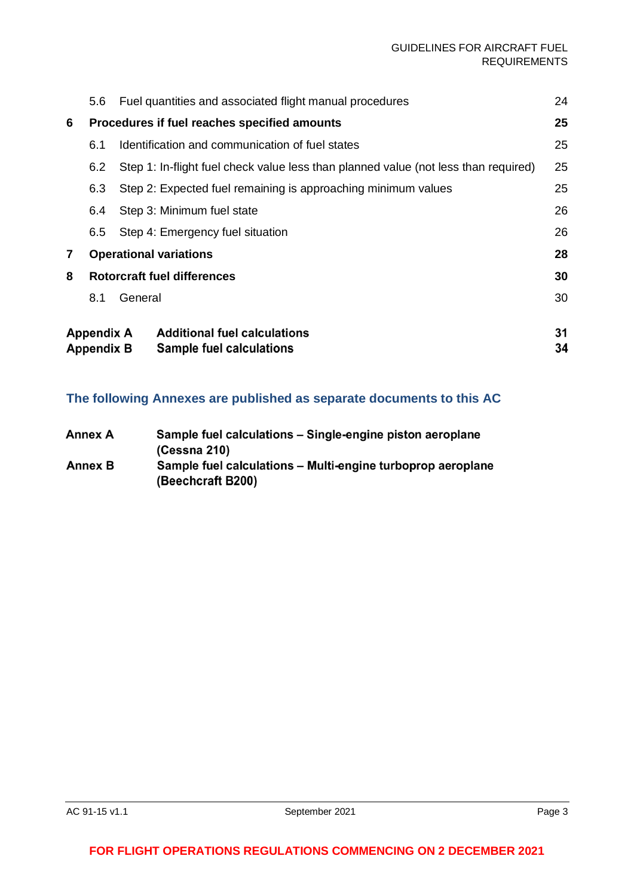|   | 5.6                                | Fuel quantities and associated flight manual procedures                             | 24 |
|---|------------------------------------|-------------------------------------------------------------------------------------|----|
| 6 |                                    | Procedures if fuel reaches specified amounts                                        | 25 |
|   | 6.1                                | Identification and communication of fuel states                                     | 25 |
|   | 6.2                                | Step 1: In-flight fuel check value less than planned value (not less than required) | 25 |
|   | 6.3                                | Step 2: Expected fuel remaining is approaching minimum values                       | 25 |
|   | 6.4                                | Step 3: Minimum fuel state                                                          | 26 |
|   | 6.5                                | Step 4: Emergency fuel situation                                                    | 26 |
| 7 |                                    | 28<br><b>Operational variations</b>                                                 |    |
| 8 | <b>Rotorcraft fuel differences</b> |                                                                                     | 30 |
|   | 8.1                                | General                                                                             | 30 |
|   |                                    | <b>Additional fuel calculations</b>                                                 | 31 |
|   | Appendix A<br>Appendix B           | <b>Sample fuel calculations</b>                                                     | 34 |
|   |                                    |                                                                                     |    |

#### **The following Annexes are published as separate documents to this AC**

| <b>Annex A</b> | Sample fuel calculations – Single-engine piston aeroplane                        |
|----------------|----------------------------------------------------------------------------------|
|                | (Cessna 210)                                                                     |
| <b>Annex B</b> | Sample fuel calculations – Multi-engine turboprop aeroplane<br>(Beechcraft B200) |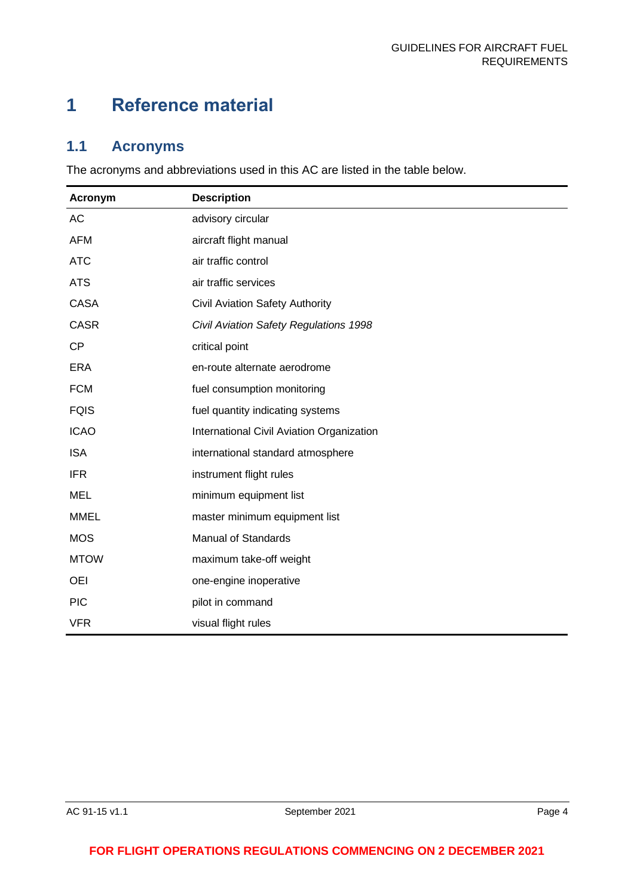# <span id="page-4-0"></span>**1 Reference material**

## <span id="page-4-1"></span>**1.1 Acronyms**

The acronyms and abbreviations used in this AC are listed in the table below.

| Acronym     | <b>Description</b>                        |
|-------------|-------------------------------------------|
| AC          | advisory circular                         |
| <b>AFM</b>  | aircraft flight manual                    |
| <b>ATC</b>  | air traffic control                       |
| <b>ATS</b>  | air traffic services                      |
| <b>CASA</b> | Civil Aviation Safety Authority           |
| <b>CASR</b> | Civil Aviation Safety Regulations 1998    |
| <b>CP</b>   | critical point                            |
| <b>ERA</b>  | en-route alternate aerodrome              |
| <b>FCM</b>  | fuel consumption monitoring               |
| <b>FQIS</b> | fuel quantity indicating systems          |
| <b>ICAO</b> | International Civil Aviation Organization |
| <b>ISA</b>  | international standard atmosphere         |
| <b>IFR</b>  | instrument flight rules                   |
| <b>MEL</b>  | minimum equipment list                    |
| <b>MMEL</b> | master minimum equipment list             |
| <b>MOS</b>  | <b>Manual of Standards</b>                |
| <b>MTOW</b> | maximum take-off weight                   |
| <b>OEI</b>  | one-engine inoperative                    |
| <b>PIC</b>  | pilot in command                          |
| <b>VFR</b>  | visual flight rules                       |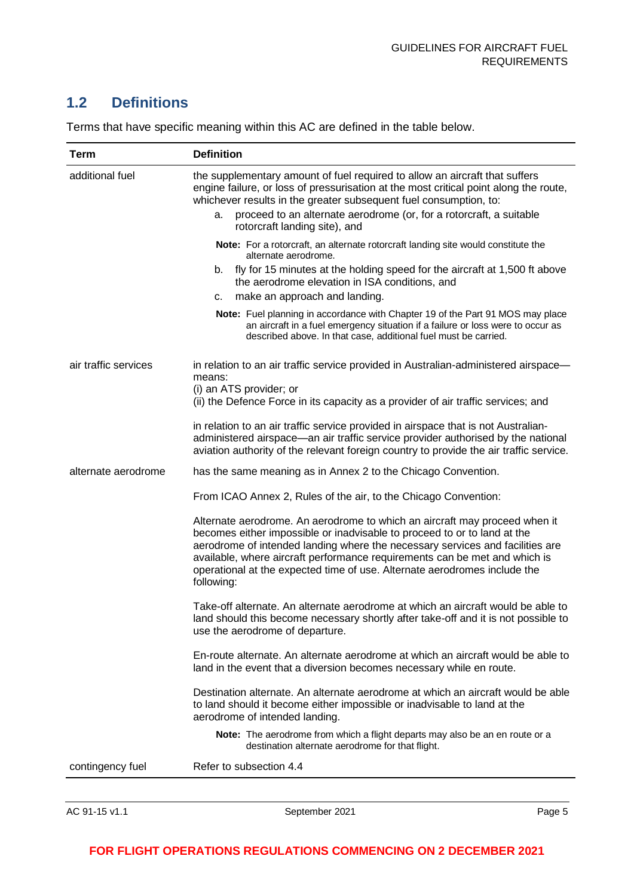## <span id="page-5-0"></span>**1.2 Definitions**

Terms that have specific meaning within this AC are defined in the table below.

| <b>Term</b>          | <b>Definition</b>                                                                                                                                                                                                                                                                                                                                                                                                |
|----------------------|------------------------------------------------------------------------------------------------------------------------------------------------------------------------------------------------------------------------------------------------------------------------------------------------------------------------------------------------------------------------------------------------------------------|
| additional fuel      | the supplementary amount of fuel required to allow an aircraft that suffers<br>engine failure, or loss of pressurisation at the most critical point along the route,<br>whichever results in the greater subsequent fuel consumption, to:<br>proceed to an alternate aerodrome (or, for a rotorcraft, a suitable<br>a.<br>rotorcraft landing site), and                                                          |
|                      | Note: For a rotorcraft, an alternate rotorcraft landing site would constitute the<br>alternate aerodrome.                                                                                                                                                                                                                                                                                                        |
|                      | fly for 15 minutes at the holding speed for the aircraft at 1,500 ft above<br>b.<br>the aerodrome elevation in ISA conditions, and                                                                                                                                                                                                                                                                               |
|                      | make an approach and landing.<br>с.                                                                                                                                                                                                                                                                                                                                                                              |
|                      | Note: Fuel planning in accordance with Chapter 19 of the Part 91 MOS may place<br>an aircraft in a fuel emergency situation if a failure or loss were to occur as<br>described above. In that case, additional fuel must be carried.                                                                                                                                                                             |
| air traffic services | in relation to an air traffic service provided in Australian-administered airspace-<br>means:<br>(i) an ATS provider; or                                                                                                                                                                                                                                                                                         |
|                      | (ii) the Defence Force in its capacity as a provider of air traffic services; and                                                                                                                                                                                                                                                                                                                                |
|                      | in relation to an air traffic service provided in airspace that is not Australian-<br>administered airspace—an air traffic service provider authorised by the national<br>aviation authority of the relevant foreign country to provide the air traffic service.                                                                                                                                                 |
| alternate aerodrome  | has the same meaning as in Annex 2 to the Chicago Convention.                                                                                                                                                                                                                                                                                                                                                    |
|                      | From ICAO Annex 2, Rules of the air, to the Chicago Convention:                                                                                                                                                                                                                                                                                                                                                  |
|                      | Alternate aerodrome. An aerodrome to which an aircraft may proceed when it<br>becomes either impossible or inadvisable to proceed to or to land at the<br>aerodrome of intended landing where the necessary services and facilities are<br>available, where aircraft performance requirements can be met and which is<br>operational at the expected time of use. Alternate aerodromes include the<br>following: |
|                      | Take-off alternate. An alternate aerodrome at which an aircraft would be able to<br>land should this become necessary shortly after take-off and it is not possible to<br>use the aerodrome of departure.                                                                                                                                                                                                        |
|                      | En-route alternate. An alternate aerodrome at which an aircraft would be able to<br>land in the event that a diversion becomes necessary while en route.                                                                                                                                                                                                                                                         |
|                      | Destination alternate. An alternate aerodrome at which an aircraft would be able<br>to land should it become either impossible or inadvisable to land at the<br>aerodrome of intended landing.                                                                                                                                                                                                                   |
|                      | Note: The aerodrome from which a flight departs may also be an en route or a<br>destination alternate aerodrome for that flight.                                                                                                                                                                                                                                                                                 |
| contingency fuel     | Refer to subsection 4.4                                                                                                                                                                                                                                                                                                                                                                                          |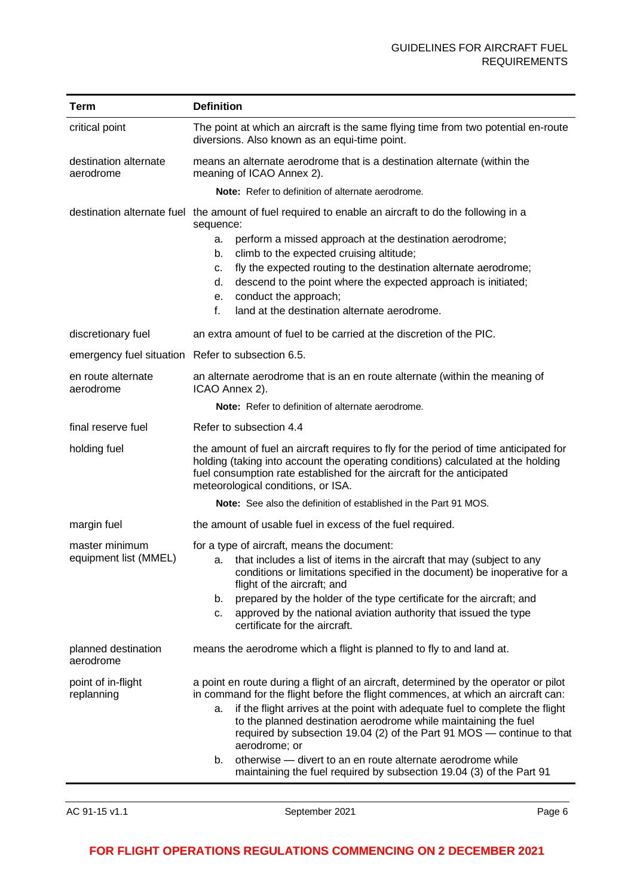| Term                                              | <b>Definition</b>                                                                                                                                                                                                                                                                                                                                                                                                                                                                                                                                                         |
|---------------------------------------------------|---------------------------------------------------------------------------------------------------------------------------------------------------------------------------------------------------------------------------------------------------------------------------------------------------------------------------------------------------------------------------------------------------------------------------------------------------------------------------------------------------------------------------------------------------------------------------|
| critical point                                    | The point at which an aircraft is the same flying time from two potential en-route<br>diversions. Also known as an equi-time point.                                                                                                                                                                                                                                                                                                                                                                                                                                       |
| destination alternate<br>aerodrome                | means an alternate aerodrome that is a destination alternate (within the<br>meaning of ICAO Annex 2).                                                                                                                                                                                                                                                                                                                                                                                                                                                                     |
|                                                   | Note: Refer to definition of alternate aerodrome.                                                                                                                                                                                                                                                                                                                                                                                                                                                                                                                         |
|                                                   | destination alternate fuel the amount of fuel required to enable an aircraft to do the following in a<br>sequence:                                                                                                                                                                                                                                                                                                                                                                                                                                                        |
|                                                   | perform a missed approach at the destination aerodrome;<br>а.                                                                                                                                                                                                                                                                                                                                                                                                                                                                                                             |
|                                                   | climb to the expected cruising altitude;<br>b.<br>fly the expected routing to the destination alternate aerodrome;<br>c.                                                                                                                                                                                                                                                                                                                                                                                                                                                  |
|                                                   | descend to the point where the expected approach is initiated;<br>d.                                                                                                                                                                                                                                                                                                                                                                                                                                                                                                      |
|                                                   | conduct the approach;<br>е.                                                                                                                                                                                                                                                                                                                                                                                                                                                                                                                                               |
|                                                   | land at the destination alternate aerodrome.<br>f.                                                                                                                                                                                                                                                                                                                                                                                                                                                                                                                        |
| discretionary fuel                                | an extra amount of fuel to be carried at the discretion of the PIC.                                                                                                                                                                                                                                                                                                                                                                                                                                                                                                       |
| emergency fuel situation Refer to subsection 6.5. |                                                                                                                                                                                                                                                                                                                                                                                                                                                                                                                                                                           |
| en route alternate<br>aerodrome                   | an alternate aerodrome that is an en route alternate (within the meaning of<br>ICAO Annex 2).                                                                                                                                                                                                                                                                                                                                                                                                                                                                             |
|                                                   | Note: Refer to definition of alternate aerodrome.                                                                                                                                                                                                                                                                                                                                                                                                                                                                                                                         |
| final reserve fuel                                | Refer to subsection 4.4                                                                                                                                                                                                                                                                                                                                                                                                                                                                                                                                                   |
| holding fuel                                      | the amount of fuel an aircraft requires to fly for the period of time anticipated for<br>holding (taking into account the operating conditions) calculated at the holding<br>fuel consumption rate established for the aircraft for the anticipated<br>meteorological conditions, or ISA.                                                                                                                                                                                                                                                                                 |
|                                                   | <b>Note:</b> See also the definition of established in the Part 91 MOS.                                                                                                                                                                                                                                                                                                                                                                                                                                                                                                   |
| margin fuel                                       | the amount of usable fuel in excess of the fuel required.                                                                                                                                                                                                                                                                                                                                                                                                                                                                                                                 |
| master minimum                                    | for a type of aircraft, means the document:                                                                                                                                                                                                                                                                                                                                                                                                                                                                                                                               |
| equipment list (MMEL)                             | that includes a list of items in the aircraft that may (subject to any<br>a.<br>conditions or limitations specified in the document) be inoperative for a<br>flight of the aircraft; and                                                                                                                                                                                                                                                                                                                                                                                  |
|                                                   | prepared by the holder of the type certificate for the aircraft; and<br>b.                                                                                                                                                                                                                                                                                                                                                                                                                                                                                                |
|                                                   | approved by the national aviation authority that issued the type<br>c.<br>certificate for the aircraft.                                                                                                                                                                                                                                                                                                                                                                                                                                                                   |
| planned destination<br>aerodrome                  | means the aerodrome which a flight is planned to fly to and land at.                                                                                                                                                                                                                                                                                                                                                                                                                                                                                                      |
| point of in-flight<br>replanning                  | a point en route during a flight of an aircraft, determined by the operator or pilot<br>in command for the flight before the flight commences, at which an aircraft can:<br>if the flight arrives at the point with adequate fuel to complete the flight<br>a.<br>to the planned destination aerodrome while maintaining the fuel<br>required by subsection 19.04 (2) of the Part 91 MOS - continue to that<br>aerodrome; or<br>otherwise - divert to an en route alternate aerodrome while<br>b.<br>maintaining the fuel required by subsection 19.04 (3) of the Part 91 |
|                                                   |                                                                                                                                                                                                                                                                                                                                                                                                                                                                                                                                                                           |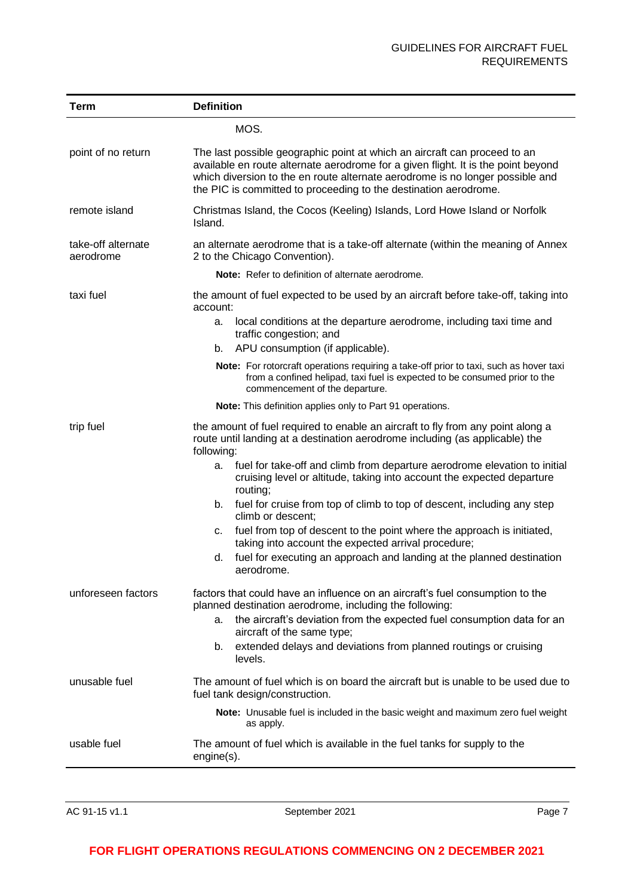| Term                            | <b>Definition</b>                                                                                                                                                                                                                                                                                                   |
|---------------------------------|---------------------------------------------------------------------------------------------------------------------------------------------------------------------------------------------------------------------------------------------------------------------------------------------------------------------|
|                                 | MOS.                                                                                                                                                                                                                                                                                                                |
| point of no return              | The last possible geographic point at which an aircraft can proceed to an<br>available en route alternate aerodrome for a given flight. It is the point beyond<br>which diversion to the en route alternate aerodrome is no longer possible and<br>the PIC is committed to proceeding to the destination aerodrome. |
| remote island                   | Christmas Island, the Cocos (Keeling) Islands, Lord Howe Island or Norfolk<br>Island.                                                                                                                                                                                                                               |
| take-off alternate<br>aerodrome | an alternate aerodrome that is a take-off alternate (within the meaning of Annex<br>2 to the Chicago Convention).                                                                                                                                                                                                   |
|                                 | Note: Refer to definition of alternate aerodrome.                                                                                                                                                                                                                                                                   |
| taxi fuel                       | the amount of fuel expected to be used by an aircraft before take-off, taking into<br>account:                                                                                                                                                                                                                      |
|                                 | local conditions at the departure aerodrome, including taxi time and<br>a.<br>traffic congestion; and                                                                                                                                                                                                               |
|                                 | APU consumption (if applicable).<br>b.                                                                                                                                                                                                                                                                              |
|                                 | Note: For rotorcraft operations requiring a take-off prior to taxi, such as hover taxi<br>from a confined helipad, taxi fuel is expected to be consumed prior to the<br>commencement of the departure.                                                                                                              |
|                                 | Note: This definition applies only to Part 91 operations.                                                                                                                                                                                                                                                           |
| trip fuel                       | the amount of fuel required to enable an aircraft to fly from any point along a<br>route until landing at a destination aerodrome including (as applicable) the<br>following:                                                                                                                                       |
|                                 | fuel for take-off and climb from departure aerodrome elevation to initial<br>a.<br>cruising level or altitude, taking into account the expected departure<br>routing;                                                                                                                                               |
|                                 | fuel for cruise from top of climb to top of descent, including any step<br>b.<br>climb or descent;                                                                                                                                                                                                                  |
|                                 | fuel from top of descent to the point where the approach is initiated,<br>c.<br>taking into account the expected arrival procedure;                                                                                                                                                                                 |
|                                 | fuel for executing an approach and landing at the planned destination<br>d.<br>aerodrome.                                                                                                                                                                                                                           |
| unforeseen factors              | factors that could have an influence on an aircraft's fuel consumption to the<br>planned destination aerodrome, including the following:                                                                                                                                                                            |
|                                 | the aircraft's deviation from the expected fuel consumption data for an<br>a.<br>aircraft of the same type;                                                                                                                                                                                                         |
|                                 | extended delays and deviations from planned routings or cruising<br>b.<br>levels.                                                                                                                                                                                                                                   |
| unusable fuel                   | The amount of fuel which is on board the aircraft but is unable to be used due to<br>fuel tank design/construction.                                                                                                                                                                                                 |
|                                 | Note: Unusable fuel is included in the basic weight and maximum zero fuel weight<br>as apply.                                                                                                                                                                                                                       |
| usable fuel                     | The amount of fuel which is available in the fuel tanks for supply to the<br>engine(s).                                                                                                                                                                                                                             |
|                                 |                                                                                                                                                                                                                                                                                                                     |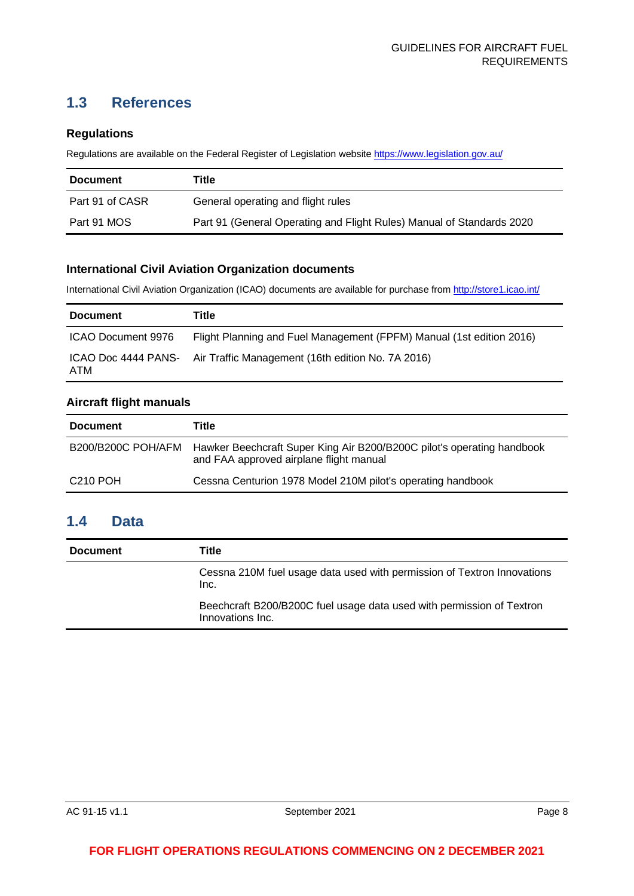## <span id="page-8-0"></span>**1.3 References**

#### **Regulations**

Regulations are available on the Federal Register of Legislation website<https://www.legislation.gov.au/>

| <b>Document</b> | Title                                                                 |
|-----------------|-----------------------------------------------------------------------|
| Part 91 of CASR | General operating and flight rules                                    |
| Part 91 MOS     | Part 91 (General Operating and Flight Rules) Manual of Standards 2020 |

#### **International Civil Aviation Organization documents**

International Civil Aviation Organization (ICAO) documents are available for purchase fro[m http://store1.icao.int/](http://store1.icao.int/)

| <b>Document</b>    | Title                                                                 |
|--------------------|-----------------------------------------------------------------------|
| ICAO Document 9976 | Flight Planning and Fuel Management (FPFM) Manual (1st edition 2016)  |
| ATM                | ICAO Doc 4444 PANS- Air Traffic Management (16th edition No. 7A 2016) |

#### **Aircraft flight manuals**

| <b>Document</b>      | Title                                                                                                             |
|----------------------|-------------------------------------------------------------------------------------------------------------------|
| B200/B200C POH/AFM   | Hawker Beechcraft Super King Air B200/B200C pilot's operating handbook<br>and FAA approved airplane flight manual |
| C <sub>210</sub> POH | Cessna Centurion 1978 Model 210M pilot's operating handbook                                                       |

#### <span id="page-8-1"></span>**1.4 Data**

| <b>Document</b> | Title                                                                                     |
|-----------------|-------------------------------------------------------------------------------------------|
|                 | Cessna 210M fuel usage data used with permission of Textron Innovations<br>Inc.           |
|                 | Beechcraft B200/B200C fuel usage data used with permission of Textron<br>Innovations Inc. |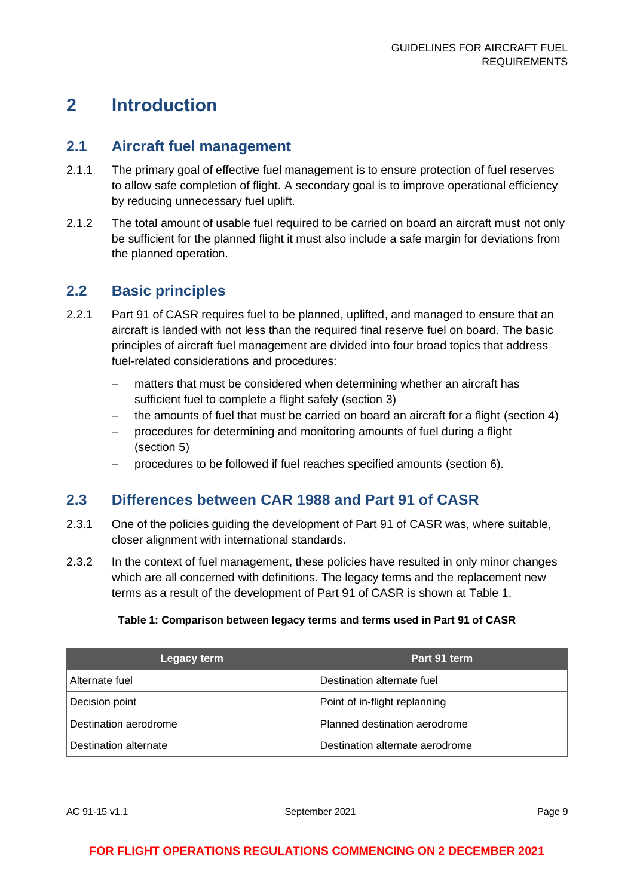# <span id="page-9-0"></span>**2 Introduction**

#### <span id="page-9-1"></span>**2.1 Aircraft fuel management**

- 2.1.1 The primary goal of effective fuel management is to ensure protection of fuel reserves to allow safe completion of flight. A secondary goal is to improve operational efficiency by reducing unnecessary fuel uplift.
- 2.1.2 The total amount of usable fuel required to be carried on board an aircraft must not only be sufficient for the planned flight it must also include a safe margin for deviations from the planned operation.

### <span id="page-9-2"></span>**2.2 Basic principles**

- 2.2.1 Part 91 of CASR requires fuel to be planned, uplifted, and managed to ensure that an aircraft is landed with not less than the required final reserve fuel on board. The basic principles of aircraft fuel management are divided into four broad topics that address fuel-related considerations and procedures:
	- − matters that must be considered when determining whether an aircraft has sufficient fuel to complete a flight safely (section [3\)](#page-11-0)
	- − the amounts of fuel that must be carried on board an aircraft for a flight (section [4\)](#page-13-0)
	- procedures for determining and monitoring amounts of fuel during a flight (section [5\)](#page-19-0)
	- − procedures to be followed if fuel reaches specified amounts (section [6\)](#page-25-0).

#### <span id="page-9-3"></span>**2.3 Differences between CAR 1988 and Part 91 of CASR**

- 2.3.1 One of the policies guiding the development of Part 91 of CASR was, where suitable, closer alignment with international standards.
- 2.3.2 In the context of fuel management, these policies have resulted in only minor changes which are all concerned with definitions. The legacy terms and the replacement new terms as a result of the development of Part 91 of CASR is shown at [Table 1.](#page-9-4)

#### **Table 1: Comparison between legacy terms and terms used in Part 91 of CASR**

<span id="page-9-4"></span>

| Legacy term           | Part 91 term                    |
|-----------------------|---------------------------------|
| Alternate fuel        | Destination alternate fuel      |
| Decision point        | Point of in-flight replanning   |
| Destination aerodrome | Planned destination aerodrome   |
| Destination alternate | Destination alternate aerodrome |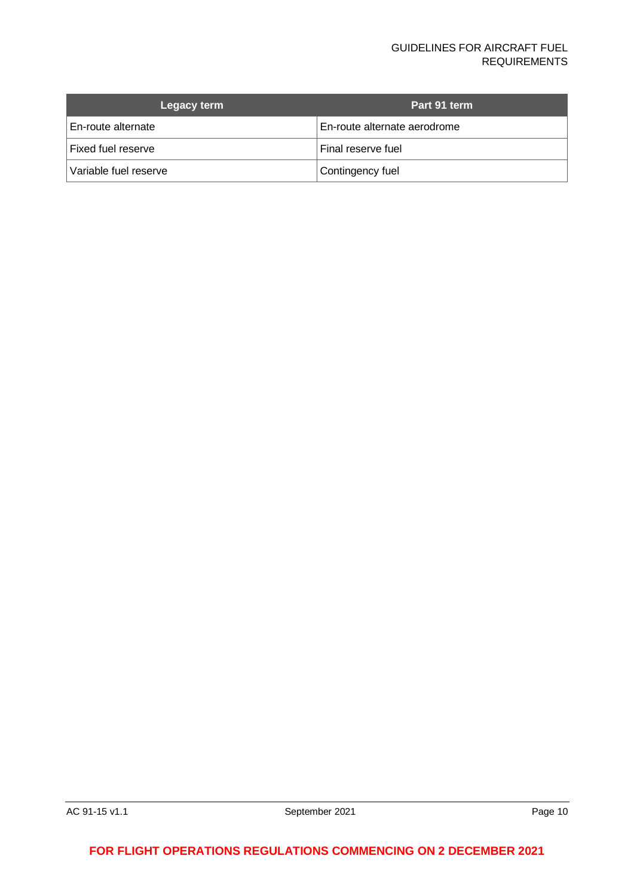#### GUIDELINES FOR AIRCRAFT FUEL REQUIREMENTS

| ∣Legacy term <sup>∣</sup> | Part 91 term                 |
|---------------------------|------------------------------|
| En-route alternate        | En-route alternate aerodrome |
| Fixed fuel reserve        | Final reserve fuel           |
| Variable fuel reserve     | Contingency fuel             |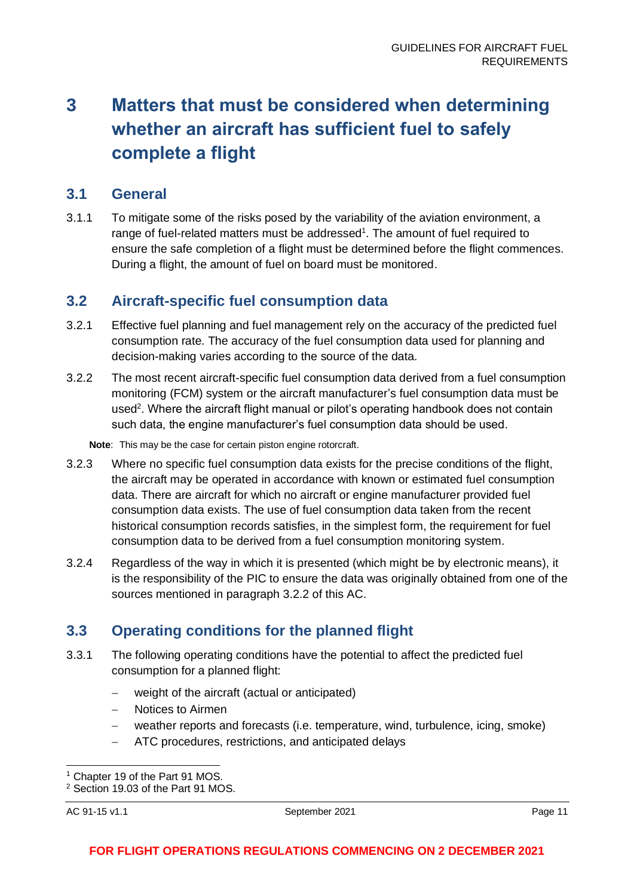# <span id="page-11-0"></span>**3 Matters that must be considered when determining whether an aircraft has sufficient fuel to safely complete a flight**

#### <span id="page-11-1"></span>**3.1 General**

3.1.1 To mitigate some of the risks posed by the variability of the aviation environment, a range of fuel-related matters must be addressed<sup>1</sup>. The amount of fuel required to ensure the safe completion of a flight must be determined before the flight commences. During a flight, the amount of fuel on board must be monitored.

### <span id="page-11-2"></span>**3.2 Aircraft-specific fuel consumption data**

- 3.2.1 Effective fuel planning and fuel management rely on the accuracy of the predicted fuel consumption rate. The accuracy of the fuel consumption data used for planning and decision-making varies according to the source of the data.
- <span id="page-11-4"></span>3.2.2 The most recent aircraft-specific fuel consumption data derived from a fuel consumption monitoring (FCM) system or the aircraft manufacturer's fuel consumption data must be used<sup>2</sup>. Where the aircraft flight manual or pilot's operating handbook does not contain such data, the engine manufacturer's fuel consumption data should be used.

**Note**: This may be the case for certain piston engine rotorcraft.

- 3.2.3 Where no specific fuel consumption data exists for the precise conditions of the flight, the aircraft may be operated in accordance with known or estimated fuel consumption data. There are aircraft for which no aircraft or engine manufacturer provided fuel consumption data exists. The use of fuel consumption data taken from the recent historical consumption records satisfies, in the simplest form, the requirement for fuel consumption data to be derived from a fuel consumption monitoring system.
- 3.2.4 Regardless of the way in which it is presented (which might be by electronic means), it is the responsibility of the PIC to ensure the data was originally obtained from one of the sources mentioned in paragraph [3.2.2](#page-11-4) of this AC.

# <span id="page-11-3"></span>**3.3 Operating conditions for the planned flight**

- <span id="page-11-5"></span>3.3.1 The following operating conditions have the potential to affect the predicted fuel consumption for a planned flight:
	- weight of the aircraft (actual or anticipated)
	- − Notices to Airmen
	- − weather reports and forecasts (i.e. temperature, wind, turbulence, icing, smoke)
	- − ATC procedures, restrictions, and anticipated delays

<sup>&</sup>lt;sup>1</sup> Chapter 19 of the Part 91 MOS.

<sup>&</sup>lt;sup>2</sup> Section 19.03 of the Part 91 MOS.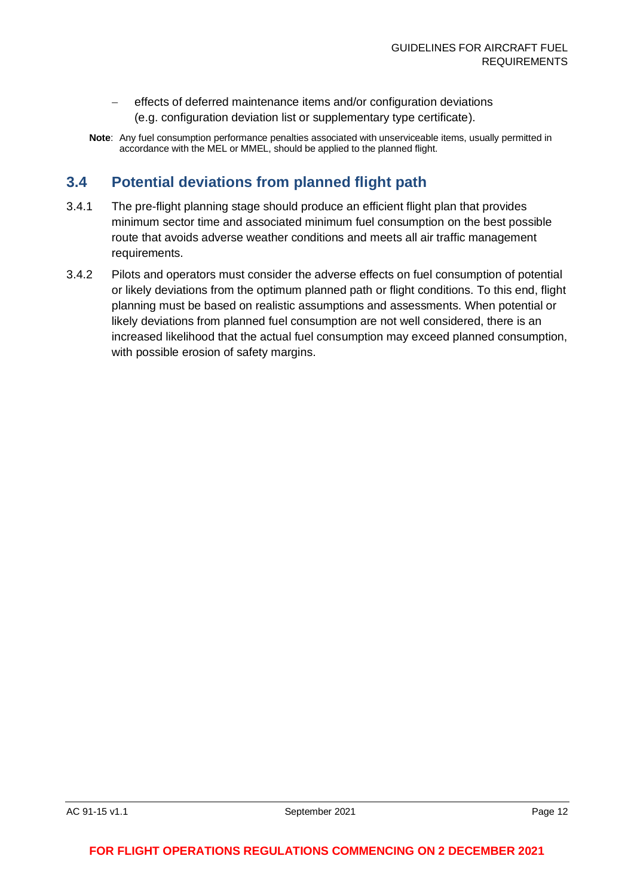- effects of deferred maintenance items and/or configuration deviations (e.g. configuration deviation list or supplementary type certificate).
- **Note**: Any fuel consumption performance penalties associated with unserviceable items, usually permitted in accordance with the MEL or MMEL, should be applied to the planned flight.

#### <span id="page-12-0"></span>**3.4 Potential deviations from planned flight path**

- 3.4.1 The pre-flight planning stage should produce an efficient flight plan that provides minimum sector time and associated minimum fuel consumption on the best possible route that avoids adverse weather conditions and meets all air traffic management requirements.
- 3.4.2 Pilots and operators must consider the adverse effects on fuel consumption of potential or likely deviations from the optimum planned path or flight conditions. To this end, flight planning must be based on realistic assumptions and assessments. When potential or likely deviations from planned fuel consumption are not well considered, there is an increased likelihood that the actual fuel consumption may exceed planned consumption, with possible erosion of safety margins.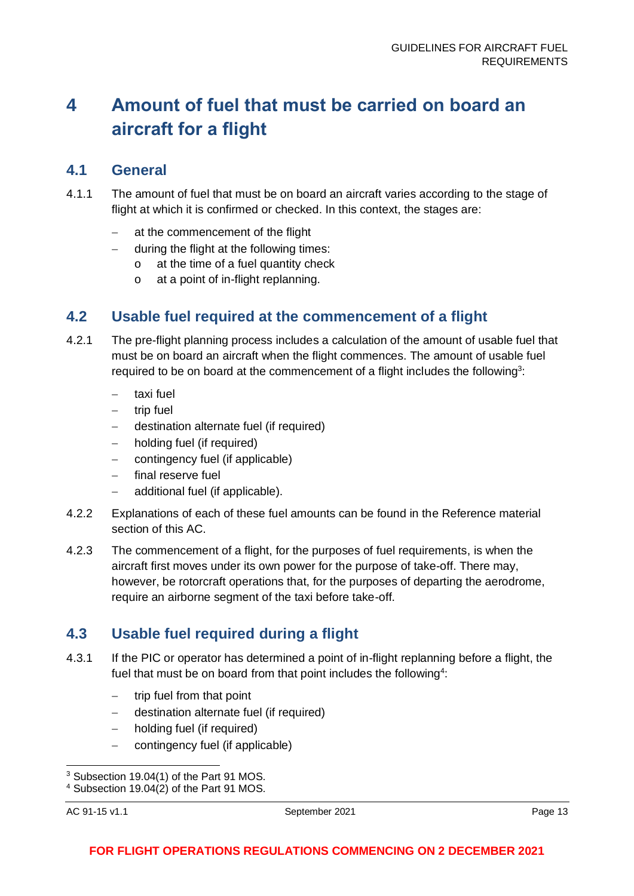# <span id="page-13-0"></span>**4 Amount of fuel that must be carried on board an aircraft for a flight**

### <span id="page-13-1"></span>**4.1 General**

- 4.1.1 The amount of fuel that must be on board an aircraft varies according to the stage of flight at which it is confirmed or checked. In this context, the stages are:
	- at the commencement of the flight
	- during the flight at the following times:
		- o at the time of a fuel quantity check
		- o at a point of in-flight replanning.

### <span id="page-13-2"></span>**4.2 Usable fuel required at the commencement of a flight**

- 4.2.1 The pre-flight planning process includes a calculation of the amount of usable fuel that must be on board an aircraft when the flight commences. The amount of usable fuel required to be on board at the commencement of a flight includes the following<sup>3</sup>:
	- − taxi fuel
	- − trip fuel
	- − destination alternate fuel (if required)
	- − holding fuel (if required)
	- − contingency fuel (if applicable)
	- final reserve fuel
	- − additional fuel (if applicable).
- 4.2.2 Explanations of each of these fuel amounts can be found in the [Reference material](#page-4-0) section of this AC.
- 4.2.3 The commencement of a flight, for the purposes of fuel requirements, is when the aircraft first moves under its own power for the purpose of take-off. There may, however, be rotorcraft operations that, for the purposes of departing the aerodrome, require an airborne segment of the taxi before take-off.

### <span id="page-13-3"></span>**4.3 Usable fuel required during a flight**

- <span id="page-13-4"></span>4.3.1 If the PIC or operator has determined a point of in-flight replanning before a flight, the fuel that must be on board from that point includes the following<sup>4</sup>:
	- − trip fuel from that point
	- − destination alternate fuel (if required)
	- holding fuel (if required)
	- contingency fuel (if applicable)

<sup>3</sup> Subsection 19.04(1) of the Part 91 MOS.

<sup>4</sup> Subsection 19.04(2) of the Part 91 MOS.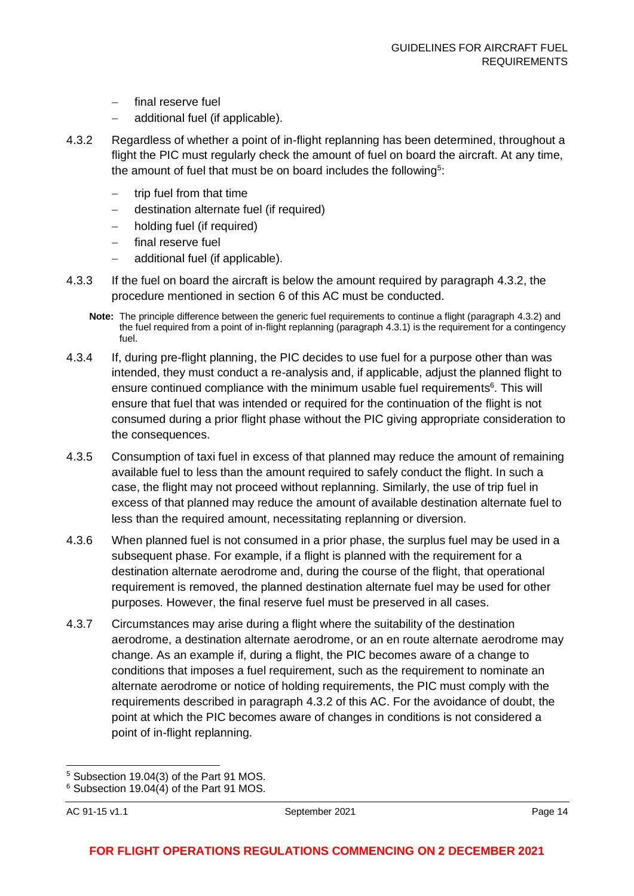- final reserve fuel
- − additional fuel (if applicable).
- <span id="page-14-0"></span>4.3.2 Regardless of whether a point of in-flight replanning has been determined, throughout a flight the PIC must regularly check the amount of fuel on board the aircraft. At any time, the amount of fuel that must be on board includes the following<sup>5</sup>:
	- − trip fuel from that time
	- − destination alternate fuel (if required)
	- holding fuel (if required)
	- final reserve fuel
	- − additional fuel (if applicable).
- 4.3.3 If the fuel on board the aircraft is below the amount required by paragraph [4.3.2,](#page-14-0) the procedure mentioned in section [6](#page-25-0) of this AC must be conducted.
	- **Note:** The principle difference between the generic fuel requirements to continue a flight (paragrap[h 4.3.2\)](#page-14-0) and the fuel required from a point of in-flight replanning (paragraph [4.3.1\)](#page-13-4) is the requirement for a contingency fuel.
- 4.3.4 If, during pre-flight planning, the PIC decides to use fuel for a purpose other than was intended, they must conduct a re-analysis and, if applicable, adjust the planned flight to ensure continued compliance with the minimum usable fuel requirements<sup>6</sup>. This will ensure that fuel that was intended or required for the continuation of the flight is not consumed during a prior flight phase without the PIC giving appropriate consideration to the consequences.
- 4.3.5 Consumption of taxi fuel in excess of that planned may reduce the amount of remaining available fuel to less than the amount required to safely conduct the flight. In such a case, the flight may not proceed without replanning. Similarly, the use of trip fuel in excess of that planned may reduce the amount of available destination alternate fuel to less than the required amount, necessitating replanning or diversion.
- 4.3.6 When planned fuel is not consumed in a prior phase, the surplus fuel may be used in a subsequent phase. For example, if a flight is planned with the requirement for a destination alternate aerodrome and, during the course of the flight, that operational requirement is removed, the planned destination alternate fuel may be used for other purposes. However, the final reserve fuel must be preserved in all cases.
- 4.3.7 Circumstances may arise during a flight where the suitability of the destination aerodrome, a destination alternate aerodrome, or an en route alternate aerodrome may change. As an example if, during a flight, the PIC becomes aware of a change to conditions that imposes a fuel requirement, such as the requirement to nominate an alternate aerodrome or notice of holding requirements, the PIC must comply with the requirements described in paragraph [4.3.2](#page-14-0) of this AC. For the avoidance of doubt, the point at which the PIC becomes aware of changes in conditions is not considered a point of in-flight replanning.

<sup>5</sup> Subsection 19.04(3) of the Part 91 MOS.

 $6$  Subsection 19.04(4) of the Part 91 MOS.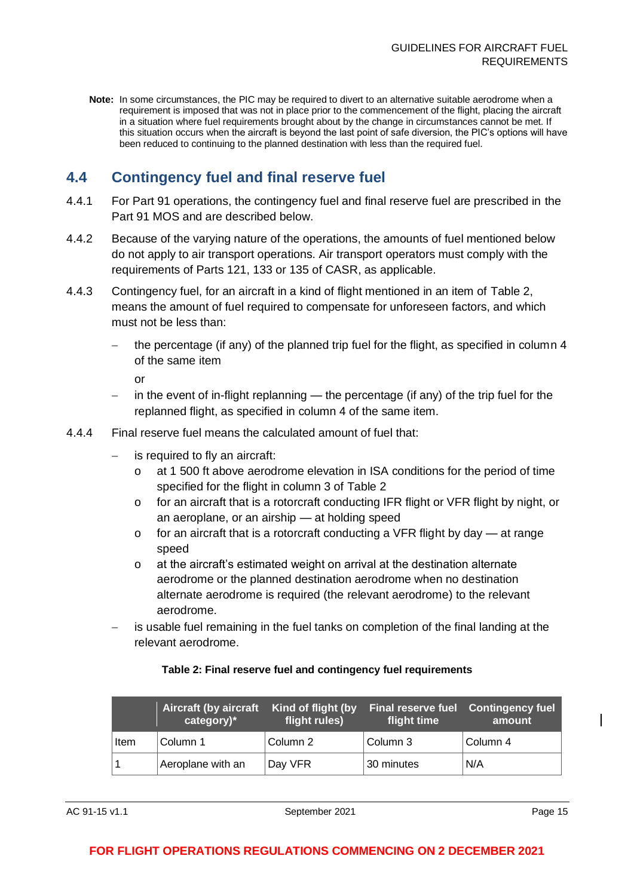**Note:** In some circumstances, the PIC may be required to divert to an alternative suitable aerodrome when a requirement is imposed that was not in place prior to the commencement of the flight, placing the aircraft in a situation where fuel requirements brought about by the change in circumstances cannot be met. If this situation occurs when the aircraft is beyond the last point of safe diversion, the PIC's options will have been reduced to continuing to the planned destination with less than the required fuel.

## <span id="page-15-0"></span>**4.4 Contingency fuel and final reserve fuel**

- 4.4.1 For Part 91 operations, the contingency fuel and final reserve fuel are prescribed in the Part 91 MOS and are described below.
- 4.4.2 Because of the varying nature of the operations, the amounts of fuel mentioned below do not apply to air transport operations. Air transport operators must comply with the requirements of Parts 121, 133 or 135 of CASR, as applicable.
- 4.4.3 Contingency fuel, for an aircraft in a kind of flight mentioned in an item of [Table 2,](#page-15-1) means the amount of fuel required to compensate for unforeseen factors, and which must not be less than:
	- the percentage (if any) of the planned trip fuel for the flight, as specified in column 4 of the same item

or

- in the event of in-flight replanning the percentage (if any) of the trip fuel for the replanned flight, as specified in column 4 of the same item.
- 4.4.4 Final reserve fuel means the calculated amount of fuel that:
	- is required to fly an aircraft:
		- o at 1 500 ft above aerodrome elevation in ISA conditions for the period of time specified for the flight in column 3 of [Table 2](#page-15-1)
		- o for an aircraft that is a rotorcraft conducting IFR flight or VFR flight by night, or an aeroplane, or an airship — at holding speed
		- o for an aircraft that is a rotorcraft conducting a VFR flight by day at range speed
		- o at the aircraft's estimated weight on arrival at the destination alternate aerodrome or the planned destination aerodrome when no destination alternate aerodrome is required (the relevant aerodrome) to the relevant aerodrome.
	- is usable fuel remaining in the fuel tanks on completion of the final landing at the relevant aerodrome.

<span id="page-15-1"></span>

|      | Aircraft (by aircraft<br>category)* | Kind of flight (by<br>flight rules) | flight time | Final reserve fuel Contingency fuel<br>amount |
|------|-------------------------------------|-------------------------------------|-------------|-----------------------------------------------|
| Item | Column 1                            | Column 2                            | Column 3    | Column 4                                      |
|      | Aeroplane with an                   | Day VFR                             | 30 minutes  | N/A                                           |

#### **Table 2: Final reserve fuel and contingency fuel requirements**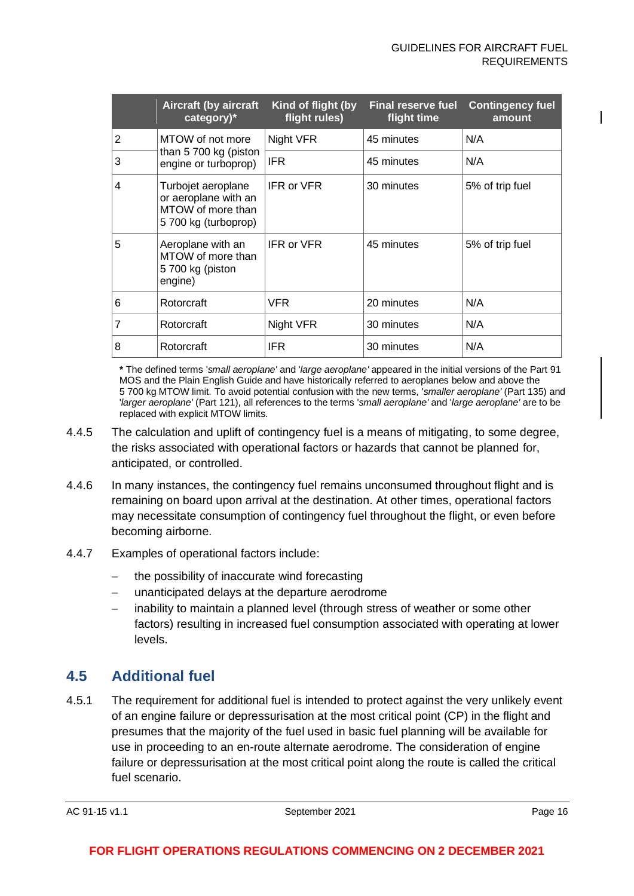|                | <b>Aircraft (by aircraft</b><br>category)*                                              | Kind of flight (by<br>flight rules) | <b>Final reserve fuel</b><br>flight time | <b>Contingency fuel</b><br>amount |
|----------------|-----------------------------------------------------------------------------------------|-------------------------------------|------------------------------------------|-----------------------------------|
| $\overline{2}$ | MTOW of not more                                                                        | Night VFR                           | 45 minutes                               | N/A                               |
| 3              | than 5 700 kg (piston<br>engine or turboprop)                                           | <b>IFR</b>                          | 45 minutes                               | N/A                               |
| 4              | Turbojet aeroplane<br>or aeroplane with an<br>MTOW of more than<br>5 700 kg (turboprop) | <b>IFR or VFR</b>                   | 30 minutes                               | 5% of trip fuel                   |
| 5              | Aeroplane with an<br>MTOW of more than<br>5 700 kg (piston<br>engine)                   | IFR or VFR                          | 45 minutes                               | 5% of trip fuel                   |
| 6              | Rotorcraft                                                                              | VFR                                 | 20 minutes                               | N/A                               |
| 7              | Rotorcraft                                                                              | Night VFR                           | 30 minutes                               | N/A                               |
| 8              | Rotorcraft                                                                              | IFR.                                | 30 minutes                               | N/A                               |

**\*** The defined terms '*small aeroplane'* and '*large aeroplane'* appeared in the initial versions of the Part 91 MOS and the Plain English Guide and have historically referred to aeroplanes below and above the 5 700 kg MTOW limit. To avoid potential confusion with the new terms, '*smaller aeroplane'* (Part 135) and '*larger aeroplane'* (Part 121), all references to the terms '*small aeroplane'* and '*large aeroplane'* are to be replaced with explicit MTOW limits.

- 4.4.5 The calculation and uplift of contingency fuel is a means of mitigating, to some degree, the risks associated with operational factors or hazards that cannot be planned for, anticipated, or controlled.
- 4.4.6 In many instances, the contingency fuel remains unconsumed throughout flight and is remaining on board upon arrival at the destination. At other times, operational factors may necessitate consumption of contingency fuel throughout the flight, or even before becoming airborne.
- 4.4.7 Examples of operational factors include:
	- − the possibility of inaccurate wind forecasting
	- − unanticipated delays at the departure aerodrome
	- inability to maintain a planned level (through stress of weather or some other factors) resulting in increased fuel consumption associated with operating at lower levels.

### <span id="page-16-0"></span>**4.5 Additional fuel**

4.5.1 The requirement for additional fuel is intended to protect against the very unlikely event of an engine failure or depressurisation at the most critical point (CP) in the flight and presumes that the majority of the fuel used in basic fuel planning will be available for use in proceeding to an en-route alternate aerodrome. The consideration of engine failure or depressurisation at the most critical point along the route is called the critical fuel scenario.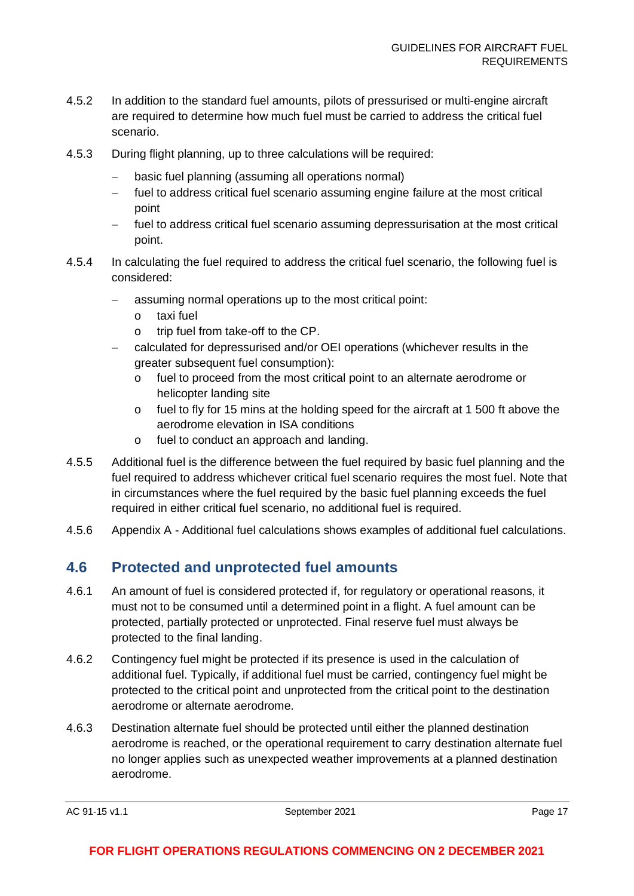- 4.5.2 In addition to the standard fuel amounts, pilots of pressurised or multi-engine aircraft are required to determine how much fuel must be carried to address the critical fuel scenario.
- 4.5.3 During flight planning, up to three calculations will be required:
	- basic fuel planning (assuming all operations normal)
	- − fuel to address critical fuel scenario assuming engine failure at the most critical point
	- − fuel to address critical fuel scenario assuming depressurisation at the most critical point.
- 4.5.4 In calculating the fuel required to address the critical fuel scenario, the following fuel is considered:
	- assuming normal operations up to the most critical point:
		- o taxi fuel
		- o trip fuel from take-off to the CP.
	- − calculated for depressurised and/or OEI operations (whichever results in the greater subsequent fuel consumption):
		- o fuel to proceed from the most critical point to an alternate aerodrome or helicopter landing site
		- o fuel to fly for 15 mins at the holding speed for the aircraft at 1 500 ft above the aerodrome elevation in ISA conditions
		- o fuel to conduct an approach and landing.
- 4.5.5 Additional fuel is the difference between the fuel required by basic fuel planning and the fuel required to address whichever critical fuel scenario requires the most fuel. Note that in circumstances where the fuel required by the basic fuel planning exceeds the fuel required in either critical fuel scenario, no additional fuel is required.
- 4.5.6 Appendix A [Additional fuel calculations](#page-31-0) shows examples of additional fuel calculations.

#### <span id="page-17-0"></span>**4.6 Protected and unprotected fuel amounts**

- 4.6.1 An amount of fuel is considered protected if, for regulatory or operational reasons, it must not to be consumed until a determined point in a flight. A fuel amount can be protected, partially protected or unprotected. Final reserve fuel must always be protected to the final landing.
- 4.6.2 Contingency fuel might be protected if its presence is used in the calculation of additional fuel. Typically, if additional fuel must be carried, contingency fuel might be protected to the critical point and unprotected from the critical point to the destination aerodrome or alternate aerodrome.
- 4.6.3 Destination alternate fuel should be protected until either the planned destination aerodrome is reached, or the operational requirement to carry destination alternate fuel no longer applies such as unexpected weather improvements at a planned destination aerodrome.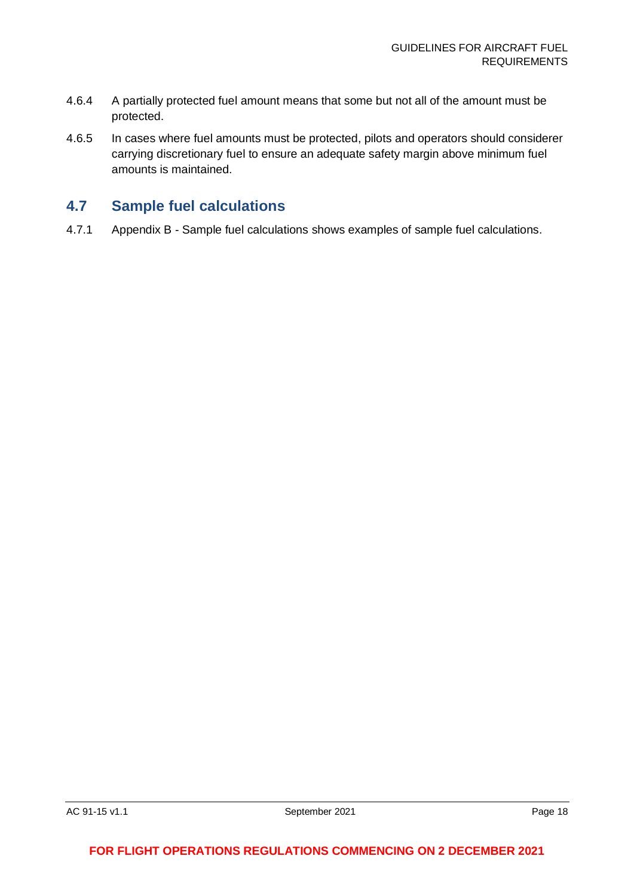- 4.6.4 A partially protected fuel amount means that some but not all of the amount must be protected.
- 4.6.5 In cases where fuel amounts must be protected, pilots and operators should considerer carrying discretionary fuel to ensure an adequate safety margin above minimum fuel amounts is maintained.

### <span id="page-18-0"></span>**4.7 Sample fuel calculations**

4.7.1 Appendix B - [Sample fuel calculations](#page-34-0) shows examples of sample fuel calculations.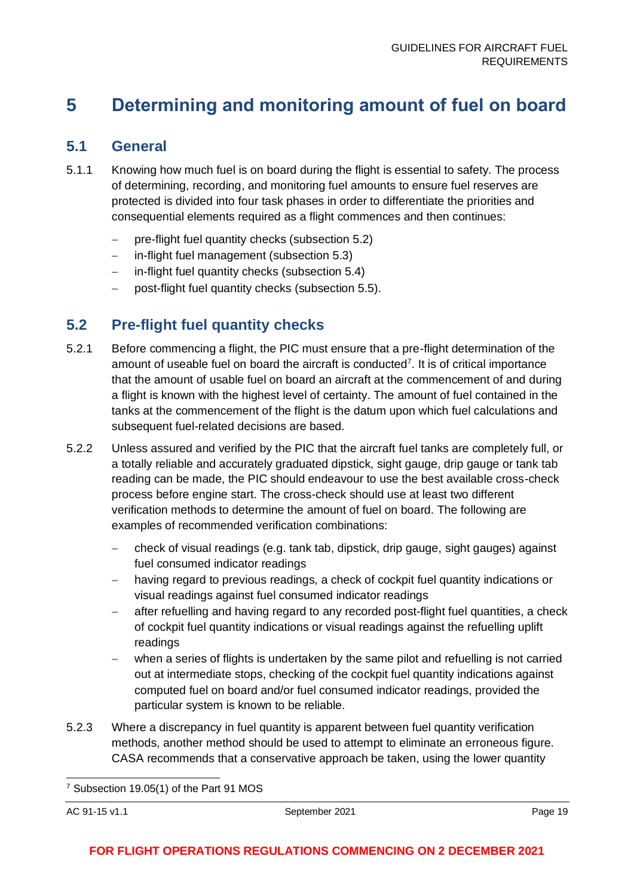# <span id="page-19-0"></span>**5 Determining and monitoring amount of fuel on board**

#### <span id="page-19-1"></span>**5.1 General**

- 5.1.1 Knowing how much fuel is on board during the flight is essential to safety. The process of determining, recording, and monitoring fuel amounts to ensure fuel reserves are protected is divided into four task phases in order to differentiate the priorities and consequential elements required as a flight commences and then continues:
	- − pre-flight fuel quantity checks (subsection [5.2\)](#page-19-2)
	- − in-flight fuel management (subsection [5.3\)](#page-20-0)
	- in-flight fuel quantity checks (subsection [5.4\)](#page-23-0)
	- − post-flight fuel quantity checks (subsection [5.5\)](#page-24-0).

### <span id="page-19-2"></span>**5.2 Pre-flight fuel quantity checks**

- 5.2.1 Before commencing a flight, the PIC must ensure that a pre-flight determination of the amount of useable fuel on board the aircraft is conducted<sup>7</sup>. It is of critical importance that the amount of usable fuel on board an aircraft at the commencement of and during a flight is known with the highest level of certainty. The amount of fuel contained in the tanks at the commencement of the flight is the datum upon which fuel calculations and subsequent fuel-related decisions are based.
- 5.2.2 Unless assured and verified by the PIC that the aircraft fuel tanks are completely full, or a totally reliable and accurately graduated dipstick, sight gauge, drip gauge or tank tab reading can be made, the PIC should endeavour to use the best available cross-check process before engine start. The cross-check should use at least two different verification methods to determine the amount of fuel on board. The following are examples of recommended verification combinations:
	- − check of visual readings (e.g. tank tab, dipstick, drip gauge, sight gauges) against fuel consumed indicator readings
	- having regard to previous readings, a check of cockpit fuel quantity indications or visual readings against fuel consumed indicator readings
	- − after refuelling and having regard to any recorded post-flight fuel quantities, a check of cockpit fuel quantity indications or visual readings against the refuelling uplift readings
	- − when a series of flights is undertaken by the same pilot and refuelling is not carried out at intermediate stops, checking of the cockpit fuel quantity indications against computed fuel on board and/or fuel consumed indicator readings, provided the particular system is known to be reliable.
- 5.2.3 Where a discrepancy in fuel quantity is apparent between fuel quantity verification methods, another method should be used to attempt to eliminate an erroneous figure. CASA recommends that a conservative approach be taken, using the lower quantity

<sup>7</sup> Subsection 19.05(1) of the Part 91 MOS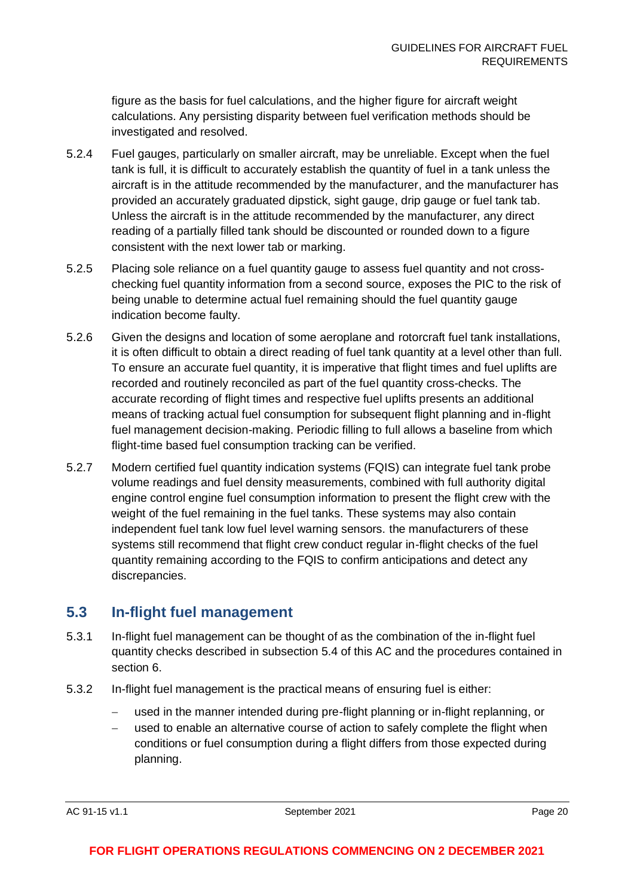figure as the basis for fuel calculations, and the higher figure for aircraft weight calculations. Any persisting disparity between fuel verification methods should be investigated and resolved.

- 5.2.4 Fuel gauges, particularly on smaller aircraft, may be unreliable. Except when the fuel tank is full, it is difficult to accurately establish the quantity of fuel in a tank unless the aircraft is in the attitude recommended by the manufacturer, and the manufacturer has provided an accurately graduated dipstick, sight gauge, drip gauge or fuel tank tab. Unless the aircraft is in the attitude recommended by the manufacturer, any direct reading of a partially filled tank should be discounted or rounded down to a figure consistent with the next lower tab or marking.
- 5.2.5 Placing sole reliance on a fuel quantity gauge to assess fuel quantity and not crosschecking fuel quantity information from a second source, exposes the PIC to the risk of being unable to determine actual fuel remaining should the fuel quantity gauge indication become faulty.
- 5.2.6 Given the designs and location of some aeroplane and rotorcraft fuel tank installations, it is often difficult to obtain a direct reading of fuel tank quantity at a level other than full. To ensure an accurate fuel quantity, it is imperative that flight times and fuel uplifts are recorded and routinely reconciled as part of the fuel quantity cross-checks. The accurate recording of flight times and respective fuel uplifts presents an additional means of tracking actual fuel consumption for subsequent flight planning and in-flight fuel management decision-making. Periodic filling to full allows a baseline from which flight-time based fuel consumption tracking can be verified.
- 5.2.7 Modern certified fuel quantity indication systems (FQIS) can integrate fuel tank probe volume readings and fuel density measurements, combined with full authority digital engine control engine fuel consumption information to present the flight crew with the weight of the fuel remaining in the fuel tanks. These systems may also contain independent fuel tank low fuel level warning sensors. the manufacturers of these systems still recommend that flight crew conduct regular in-flight checks of the fuel quantity remaining according to the FQIS to confirm anticipations and detect any discrepancies.

#### <span id="page-20-0"></span>**5.3 In-flight fuel management**

- 5.3.1 In-flight fuel management can be thought of as the combination of the in-flight fuel quantity checks described in subsection [5.4](#page-23-0) of this AC and the procedures contained in section [6.](#page-25-0)
- 5.3.2 In-flight fuel management is the practical means of ensuring fuel is either:
	- used in the manner intended during pre-flight planning or in-flight replanning, or
	- used to enable an alternative course of action to safely complete the flight when conditions or fuel consumption during a flight differs from those expected during planning.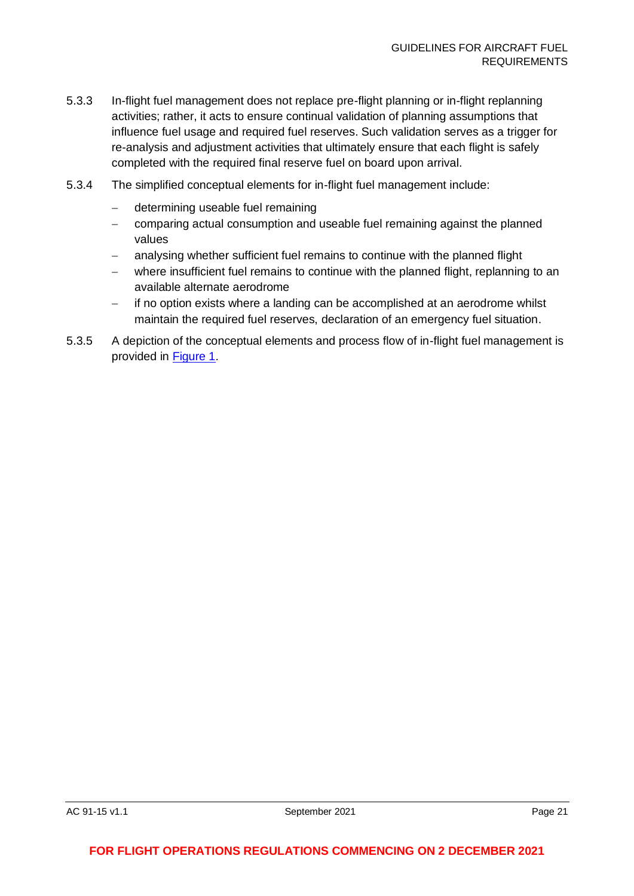- 5.3.3 In-flight fuel management does not replace pre-flight planning or in-flight replanning activities; rather, it acts to ensure continual validation of planning assumptions that influence fuel usage and required fuel reserves. Such validation serves as a trigger for re-analysis and adjustment activities that ultimately ensure that each flight is safely completed with the required final reserve fuel on board upon arrival.
- 5.3.4 The simplified conceptual elements for in-flight fuel management include:
	- − determining useable fuel remaining
	- − comparing actual consumption and useable fuel remaining against the planned values
	- analysing whether sufficient fuel remains to continue with the planned flight
	- where insufficient fuel remains to continue with the planned flight, replanning to an available alternate aerodrome
	- if no option exists where a landing can be accomplished at an aerodrome whilst maintain the required fuel reserves, declaration of an emergency fuel situation.
- 5.3.5 A depiction of the conceptual elements and process flow of in-flight fuel management is provided in [Figure 1.](#page-22-0)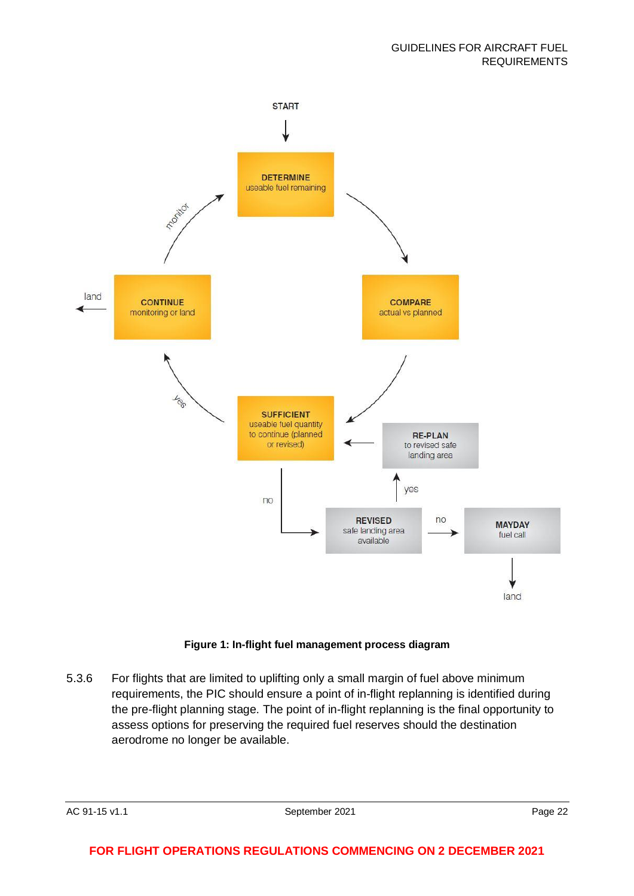

#### **Figure 1: In-flight fuel management process diagram**

<span id="page-22-0"></span>5.3.6 For flights that are limited to uplifting only a small margin of fuel above minimum requirements, the PIC should ensure a point of in-flight replanning is identified during the pre-flight planning stage. The point of in-flight replanning is the final opportunity to assess options for preserving the required fuel reserves should the destination aerodrome no longer be available.

AC 91-15 v1.1 Page 22 September 2021 Page 22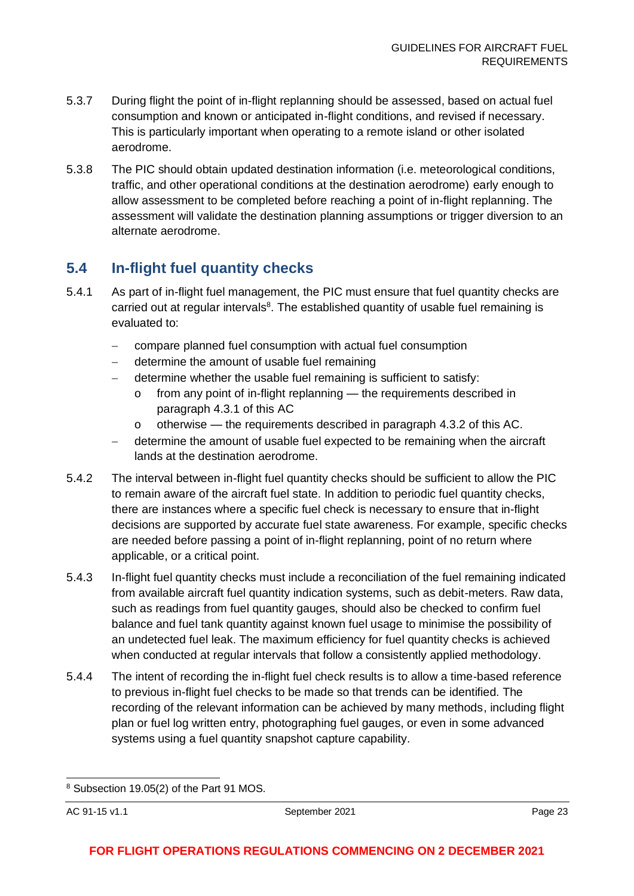- 5.3.7 During flight the point of in-flight replanning should be assessed, based on actual fuel consumption and known or anticipated in-flight conditions, and revised if necessary. This is particularly important when operating to a remote island or other isolated aerodrome.
- 5.3.8 The PIC should obtain updated destination information (i.e. meteorological conditions, traffic, and other operational conditions at the destination aerodrome) early enough to allow assessment to be completed before reaching a point of in-flight replanning. The assessment will validate the destination planning assumptions or trigger diversion to an alternate aerodrome.

### <span id="page-23-0"></span>**5.4 In-flight fuel quantity checks**

- 5.4.1 As part of in-flight fuel management, the PIC must ensure that fuel quantity checks are carried out at regular intervals<sup>8</sup>. The established quantity of usable fuel remaining is evaluated to:
	- − compare planned fuel consumption with actual fuel consumption
	- − determine the amount of usable fuel remaining
	- − determine whether the usable fuel remaining is sufficient to satisfy:
		- from any point of in-flight replanning the requirements described in paragraph [4.3.1](#page-13-4) of this AC
		- o otherwise the requirements described in paragraph [4.3.2](#page-14-0) of this AC.
	- − determine the amount of usable fuel expected to be remaining when the aircraft lands at the destination aerodrome.
- 5.4.2 The interval between in-flight fuel quantity checks should be sufficient to allow the PIC to remain aware of the aircraft fuel state. In addition to periodic fuel quantity checks, there are instances where a specific fuel check is necessary to ensure that in-flight decisions are supported by accurate fuel state awareness. For example, specific checks are needed before passing a point of in-flight replanning, point of no return where applicable, or a critical point.
- 5.4.3 In-flight fuel quantity checks must include a reconciliation of the fuel remaining indicated from available aircraft fuel quantity indication systems, such as debit-meters. Raw data, such as readings from fuel quantity gauges, should also be checked to confirm fuel balance and fuel tank quantity against known fuel usage to minimise the possibility of an undetected fuel leak. The maximum efficiency for fuel quantity checks is achieved when conducted at regular intervals that follow a consistently applied methodology.
- 5.4.4 The intent of recording the in-flight fuel check results is to allow a time-based reference to previous in-flight fuel checks to be made so that trends can be identified. The recording of the relevant information can be achieved by many methods, including flight plan or fuel log written entry, photographing fuel gauges, or even in some advanced systems using a fuel quantity snapshot capture capability.

<sup>8</sup> Subsection 19.05(2) of the Part 91 MOS.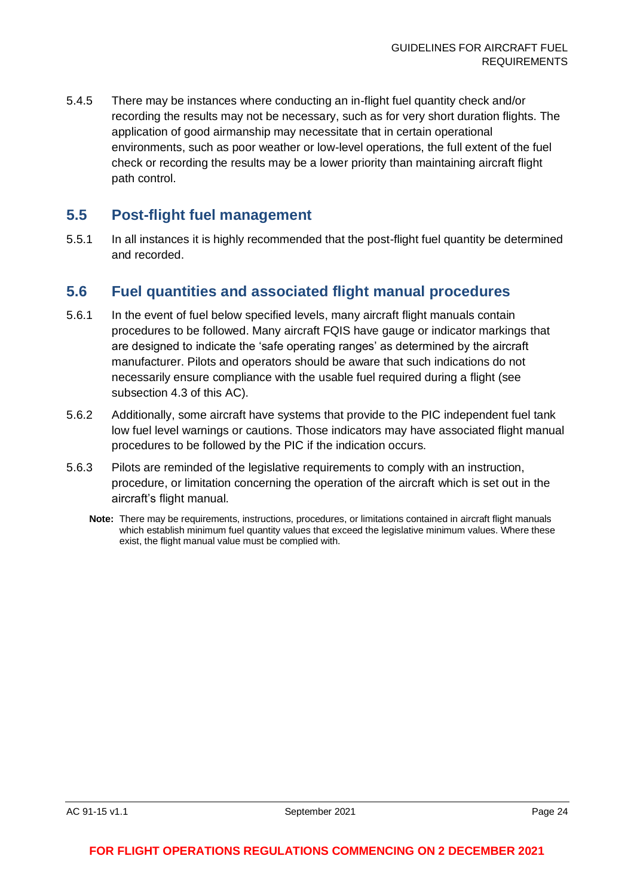5.4.5 There may be instances where conducting an in-flight fuel quantity check and/or recording the results may not be necessary, such as for very short duration flights. The application of good airmanship may necessitate that in certain operational environments, such as poor weather or low-level operations, the full extent of the fuel check or recording the results may be a lower priority than maintaining aircraft flight path control.

### <span id="page-24-0"></span>**5.5 Post-flight fuel management**

5.5.1 In all instances it is highly recommended that the post-flight fuel quantity be determined and recorded.

#### <span id="page-24-1"></span>**5.6 Fuel quantities and associated flight manual procedures**

- 5.6.1 In the event of fuel below specified levels, many aircraft flight manuals contain procedures to be followed. Many aircraft FQIS have gauge or indicator markings that are designed to indicate the 'safe operating ranges' as determined by the aircraft manufacturer. Pilots and operators should be aware that such indications do not necessarily ensure compliance with the usable fuel required during a flight (see subsection [4.3](#page-13-3) of this AC).
- 5.6.2 Additionally, some aircraft have systems that provide to the PIC independent fuel tank low fuel level warnings or cautions. Those indicators may have associated flight manual procedures to be followed by the PIC if the indication occurs.
- 5.6.3 Pilots are reminded of the legislative requirements to comply with an instruction, procedure, or limitation concerning the operation of the aircraft which is set out in the aircraft's flight manual.
	- **Note:** There may be requirements, instructions, procedures, or limitations contained in aircraft flight manuals which establish minimum fuel quantity values that exceed the legislative minimum values. Where these exist, the flight manual value must be complied with.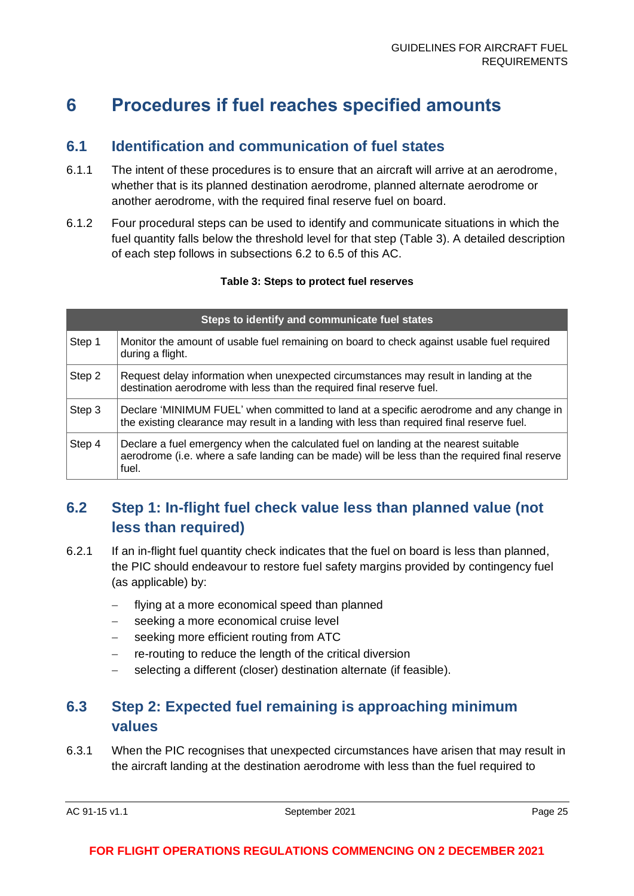# <span id="page-25-0"></span>**6 Procedures if fuel reaches specified amounts**

### <span id="page-25-1"></span>**6.1 Identification and communication of fuel states**

- 6.1.1 The intent of these procedures is to ensure that an aircraft will arrive at an aerodrome, whether that is its planned destination aerodrome, planned alternate aerodrome or another aerodrome, with the required final reserve fuel on board.
- 6.1.2 Four procedural steps can be used to identify and communicate situations in which the fuel quantity falls below the threshold level for that step [\(Table 3\)](#page-25-4). A detailed description of each step follows in subsections [6.2](#page-25-2) to [6.5](#page-26-1) of this AC.

|  |  |  |  |  | Table 3: Steps to protect fuel reserves |
|--|--|--|--|--|-----------------------------------------|
|--|--|--|--|--|-----------------------------------------|

<span id="page-25-4"></span>

|        | Steps to identify and communicate fuel states                                                                                                                                                   |
|--------|-------------------------------------------------------------------------------------------------------------------------------------------------------------------------------------------------|
| Step 1 | Monitor the amount of usable fuel remaining on board to check against usable fuel required<br>during a flight.                                                                                  |
| Step 2 | Request delay information when unexpected circumstances may result in landing at the<br>destination aerodrome with less than the required final reserve fuel.                                   |
| Step 3 | Declare 'MINIMUM FUEL' when committed to land at a specific aerodrome and any change in<br>the existing clearance may result in a landing with less than required final reserve fuel.           |
| Step 4 | Declare a fuel emergency when the calculated fuel on landing at the nearest suitable<br>aerodrome (i.e. where a safe landing can be made) will be less than the required final reserve<br>fuel. |

# <span id="page-25-2"></span>**6.2 Step 1: In-flight fuel check value less than planned value (not less than required)**

- 6.2.1 If an in-flight fuel quantity check indicates that the fuel on board is less than planned, the PIC should endeavour to restore fuel safety margins provided by contingency fuel (as applicable) by:
	- − flying at a more economical speed than planned
	- seeking a more economical cruise level
	- − seeking more efficient routing from ATC
	- re-routing to reduce the length of the critical diversion
	- − selecting a different (closer) destination alternate (if feasible).

# <span id="page-25-3"></span>**6.3 Step 2: Expected fuel remaining is approaching minimum values**

6.3.1 When the PIC recognises that unexpected circumstances have arisen that may result in the aircraft landing at the destination aerodrome with less than the fuel required to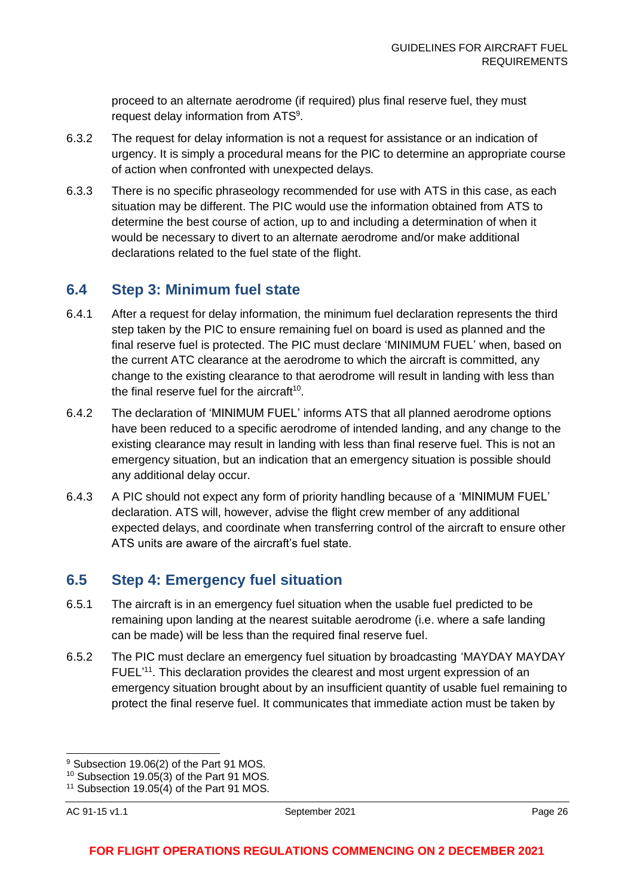proceed to an alternate aerodrome (if required) plus final reserve fuel, they must request delay information from ATS<sup>9</sup>.

- 6.3.2 The request for delay information is not a request for assistance or an indication of urgency. It is simply a procedural means for the PIC to determine an appropriate course of action when confronted with unexpected delays.
- 6.3.3 There is no specific phraseology recommended for use with ATS in this case, as each situation may be different. The PIC would use the information obtained from ATS to determine the best course of action, up to and including a determination of when it would be necessary to divert to an alternate aerodrome and/or make additional declarations related to the fuel state of the flight.

### <span id="page-26-0"></span>**6.4 Step 3: Minimum fuel state**

- 6.4.1 After a request for delay information, the minimum fuel declaration represents the third step taken by the PIC to ensure remaining fuel on board is used as planned and the final reserve fuel is protected. The PIC must declare 'MINIMUM FUEL' when, based on the current ATC clearance at the aerodrome to which the aircraft is committed, any change to the existing clearance to that aerodrome will result in landing with less than the final reserve fuel for the aircraft<sup>10</sup>.
- 6.4.2 The declaration of 'MINIMUM FUEL' informs ATS that all planned aerodrome options have been reduced to a specific aerodrome of intended landing, and any change to the existing clearance may result in landing with less than final reserve fuel. This is not an emergency situation, but an indication that an emergency situation is possible should any additional delay occur.
- 6.4.3 A PIC should not expect any form of priority handling because of a 'MINIMUM FUEL' declaration. ATS will, however, advise the flight crew member of any additional expected delays, and coordinate when transferring control of the aircraft to ensure other ATS units are aware of the aircraft's fuel state.

### <span id="page-26-1"></span>**6.5 Step 4: Emergency fuel situation**

- 6.5.1 The aircraft is in an emergency fuel situation when the usable fuel predicted to be remaining upon landing at the nearest suitable aerodrome (i.e. where a safe landing can be made) will be less than the required final reserve fuel.
- 6.5.2 The PIC must declare an emergency fuel situation by broadcasting 'MAYDAY MAYDAY FUEL<sup>'11</sup>. This declaration provides the clearest and most urgent expression of an emergency situation brought about by an insufficient quantity of usable fuel remaining to protect the final reserve fuel. It communicates that immediate action must be taken by

<sup>&</sup>lt;sup>9</sup> Subsection 19.06(2) of the Part 91 MOS.

<sup>10</sup> Subsection 19.05(3) of the Part 91 MOS.

 $11$  Subsection 19.05(4) of the Part 91 MOS.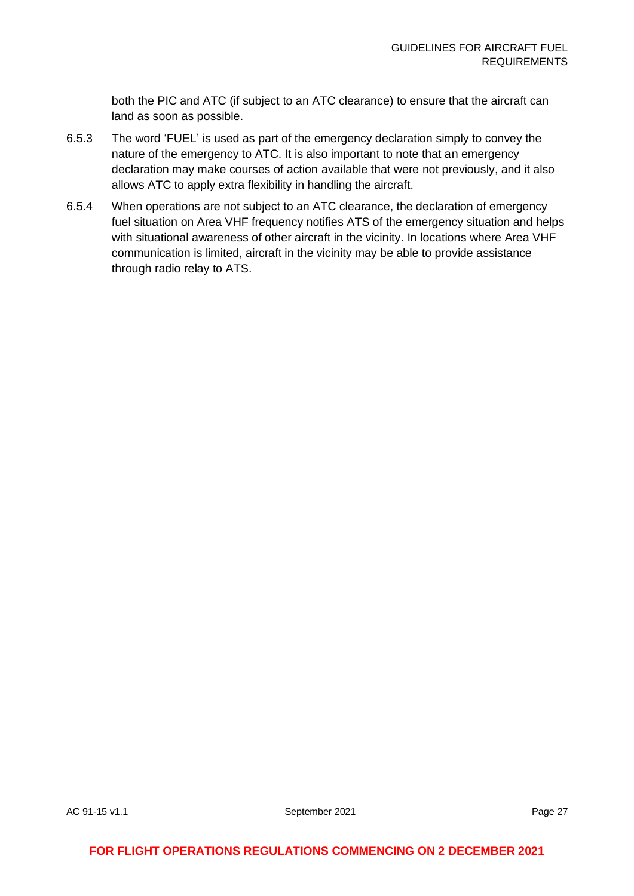both the PIC and ATC (if subject to an ATC clearance) to ensure that the aircraft can land as soon as possible.

- 6.5.3 The word 'FUEL' is used as part of the emergency declaration simply to convey the nature of the emergency to ATC. It is also important to note that an emergency declaration may make courses of action available that were not previously, and it also allows ATC to apply extra flexibility in handling the aircraft.
- 6.5.4 When operations are not subject to an ATC clearance, the declaration of emergency fuel situation on Area VHF frequency notifies ATS of the emergency situation and helps with situational awareness of other aircraft in the vicinity. In locations where Area VHF communication is limited, aircraft in the vicinity may be able to provide assistance through radio relay to ATS.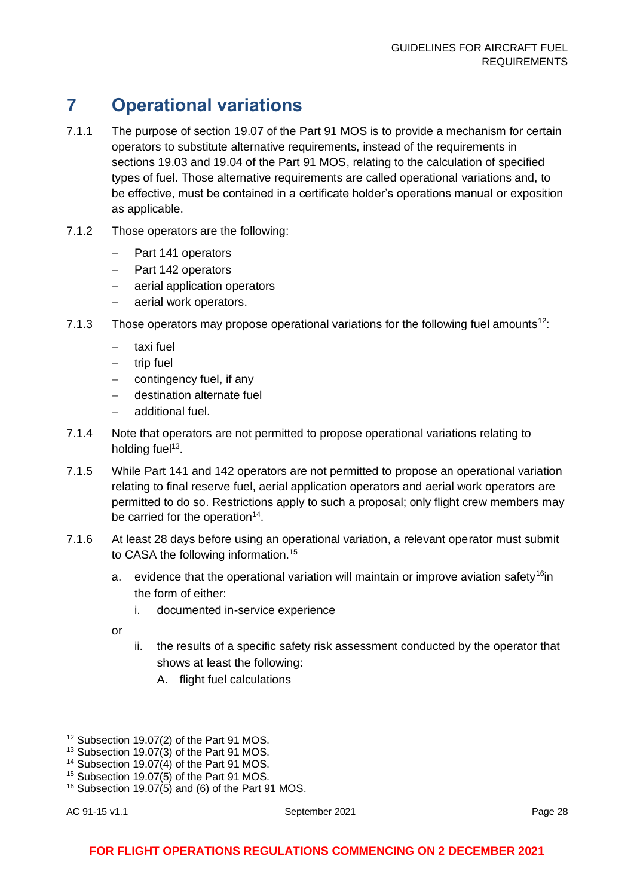# <span id="page-28-0"></span>**7 Operational variations**

- 7.1.1 The purpose of section 19.07 of the Part 91 MOS is to provide a mechanism for certain operators to substitute alternative requirements, instead of the requirements in sections 19.03 and 19.04 of the Part 91 MOS, relating to the calculation of specified types of fuel. Those alternative requirements are called operational variations and, to be effective, must be contained in a certificate holder's operations manual or exposition as applicable.
- 7.1.2 Those operators are the following:
	- − Part 141 operators
	- − Part 142 operators
	- aerial application operators
	- − aerial work operators.
- 7.1.3 Those operators may propose operational variations for the following fuel amounts<sup>12</sup>:
	- − taxi fuel
	- − trip fuel
	- − contingency fuel, if any
	- − destination alternate fuel
	- − additional fuel.
- 7.1.4 Note that operators are not permitted to propose operational variations relating to holding fuel<sup>13</sup>.
- 7.1.5 While Part 141 and 142 operators are not permitted to propose an operational variation relating to final reserve fuel, aerial application operators and aerial work operators are permitted to do so. Restrictions apply to such a proposal; only flight crew members may be carried for the operation<sup>14</sup>.
- 7.1.6 At least 28 days before using an operational variation, a relevant operator must submit to CASA the following information.<sup>15</sup>
	- a. evidence that the operational variation will maintain or improve aviation safety<sup>16</sup>in the form of either:
		- i. documented in-service experience

or

- ii. the results of a specific safety risk assessment conducted by the operator that shows at least the following:
	- A. flight fuel calculations

<sup>&</sup>lt;sup>12</sup> Subsection 19.07(2) of the Part 91 MOS.

<sup>&</sup>lt;sup>13</sup> Subsection 19.07(3) of the Part 91 MOS.

<sup>&</sup>lt;sup>14</sup> Subsection 19.07 $(4)$  of the Part 91 MOS.

<sup>&</sup>lt;sup>15</sup> Subsection 19.07(5) of the Part 91 MOS.

 $16$  Subsection 19.07(5) and (6) of the Part 91 MOS.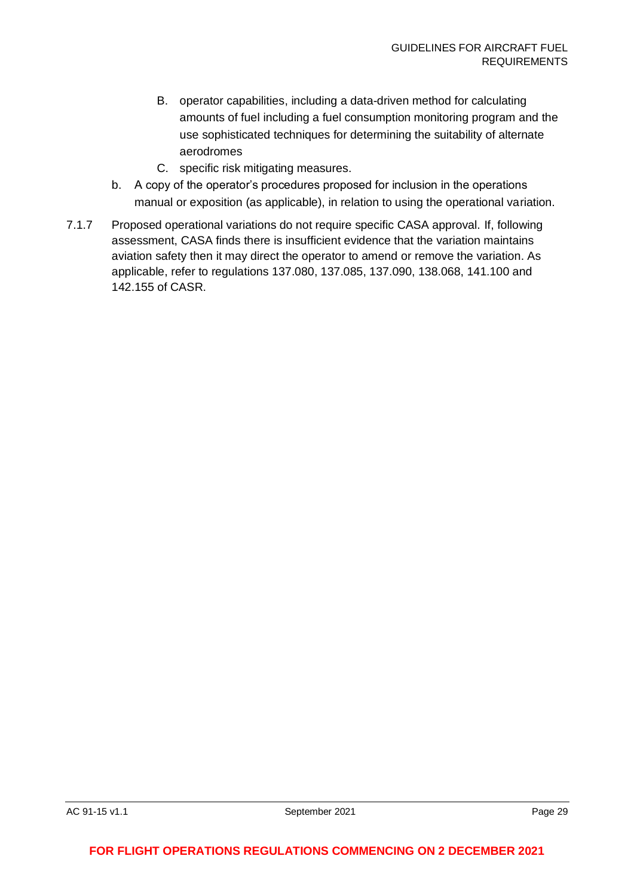- B. operator capabilities, including a data-driven method for calculating amounts of fuel including a fuel consumption monitoring program and the use sophisticated techniques for determining the suitability of alternate aerodromes
- C. specific risk mitigating measures.
- b. A copy of the operator's procedures proposed for inclusion in the operations manual or exposition (as applicable), in relation to using the operational variation.
- 7.1.7 Proposed operational variations do not require specific CASA approval. If, following assessment, CASA finds there is insufficient evidence that the variation maintains aviation safety then it may direct the operator to amend or remove the variation. As applicable, refer to regulations 137.080, 137.085, 137.090, 138.068, 141.100 and 142.155 of CASR.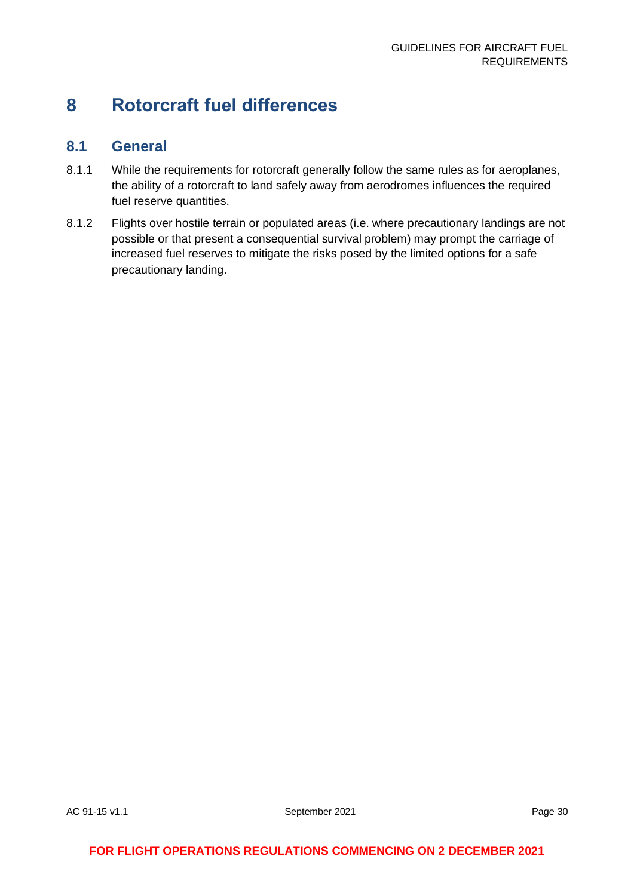# <span id="page-30-0"></span>**8 Rotorcraft fuel differences**

#### <span id="page-30-1"></span>**8.1 General**

- 8.1.1 While the requirements for rotorcraft generally follow the same rules as for aeroplanes, the ability of a rotorcraft to land safely away from aerodromes influences the required fuel reserve quantities.
- 8.1.2 Flights over hostile terrain or populated areas (i.e. where precautionary landings are not possible or that present a consequential survival problem) may prompt the carriage of increased fuel reserves to mitigate the risks posed by the limited options for a safe precautionary landing.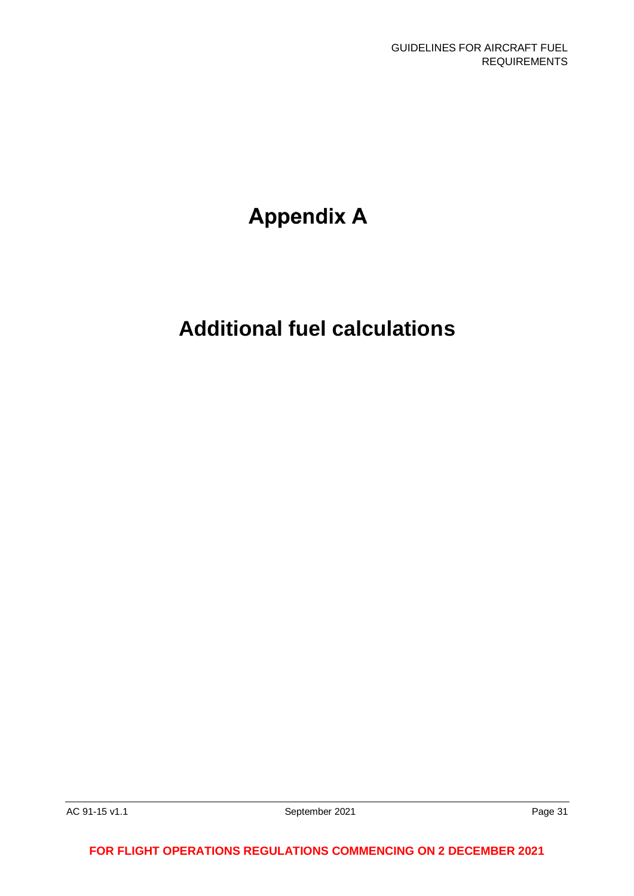# **Appendix A**

# <span id="page-31-0"></span>**Additional fuel calculations**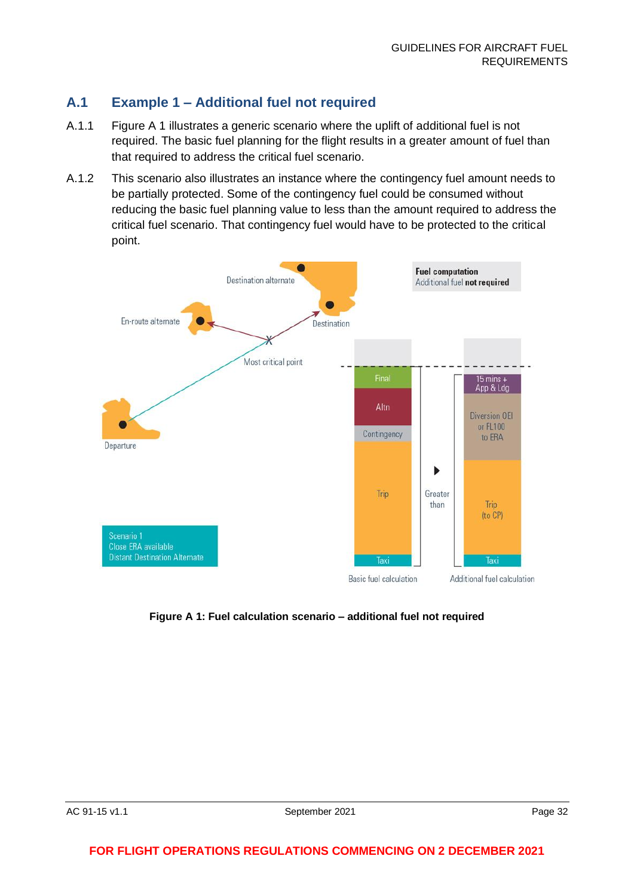#### **A.1 Example 1 – Additional fuel not required**

- A.1.1 [Figure A 1](#page-32-0) illustrates a generic scenario where the uplift of additional fuel is not required. The basic fuel planning for the flight results in a greater amount of fuel than that required to address the critical fuel scenario.
- A.1.2 This scenario also illustrates an instance where the contingency fuel amount needs to be partially protected. Some of the contingency fuel could be consumed without reducing the basic fuel planning value to less than the amount required to address the critical fuel scenario. That contingency fuel would have to be protected to the critical point.



<span id="page-32-0"></span>**Figure A 1: Fuel calculation scenario – additional fuel not required**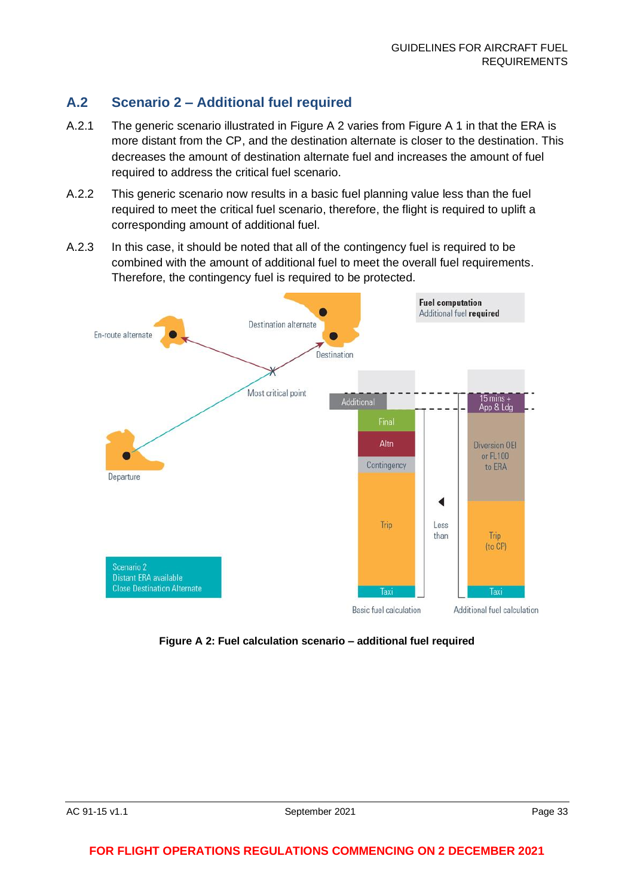#### **A.2 Scenario 2 – Additional fuel required**

- A.2.1 The generic scenario illustrated in [Figure A 2](#page-33-0) varies from [Figure A 1](#page-32-0) in that the ERA is more distant from the CP, and the destination alternate is closer to the destination. This decreases the amount of destination alternate fuel and increases the amount of fuel required to address the critical fuel scenario.
- A.2.2 This generic scenario now results in a basic fuel planning value less than the fuel required to meet the critical fuel scenario, therefore, the flight is required to uplift a corresponding amount of additional fuel.
- A.2.3 In this case, it should be noted that all of the contingency fuel is required to be combined with the amount of additional fuel to meet the overall fuel requirements. Therefore, the contingency fuel is required to be protected.



<span id="page-33-0"></span>**Figure A 2: Fuel calculation scenario – additional fuel required**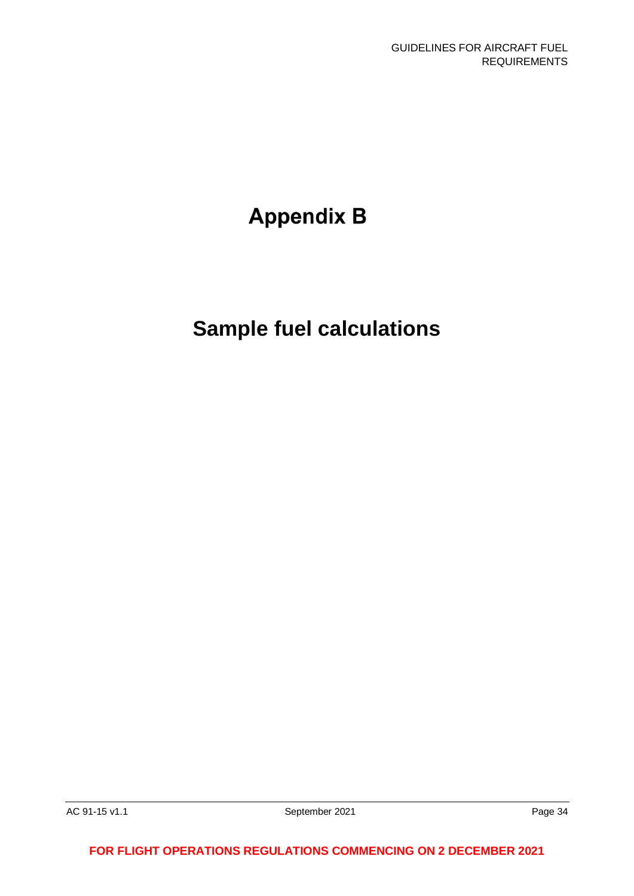# **Appendix B**

# <span id="page-34-0"></span>**Sample fuel calculations**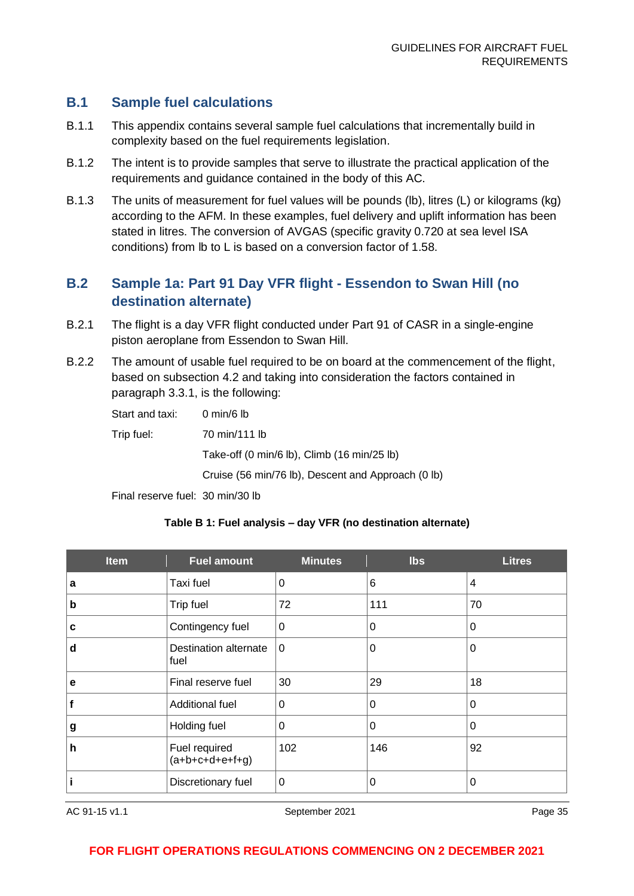#### <span id="page-35-0"></span>**B.1 Sample fuel calculations**

- B.1.1 This appendix contains several sample fuel calculations that incrementally build in complexity based on the fuel requirements legislation.
- B.1.2 The intent is to provide samples that serve to illustrate the practical application of the requirements and guidance contained in the body of this AC.
- B.1.3 The units of measurement for fuel values will be pounds (lb), litres (L) or kilograms (kg) according to the AFM. In these examples, fuel delivery and uplift information has been stated in litres. The conversion of AVGAS (specific gravity 0.720 at sea level ISA conditions) from lb to L is based on a conversion factor of 1.58.

#### **B.2 Sample 1a: Part 91 Day VFR flight - Essendon to Swan Hill (no destination alternate)**

- B.2.1 The flight is a day VFR flight conducted under Part 91 of CASR in a single-engine piston aeroplane from Essendon to Swan Hill.
- B.2.2 The amount of usable fuel required to be on board at the commencement of the flight, based on subsection [4.2](#page-13-2) and taking into consideration the factors contained in paragraph [3.3.1,](#page-11-5) is the following:

| Start and taxi: | 0 min/6 lb                                         |
|-----------------|----------------------------------------------------|
| Trip fuel:      | 70 min/111 lb                                      |
|                 | Take-off (0 min/6 lb), Climb (16 min/25 lb)        |
|                 | Cruise (56 min/76 lb), Descent and Approach (0 lb) |
|                 |                                                    |

Final reserve fuel: 30 min/30 lb

#### **Table B 1: Fuel analysis – day VFR (no destination alternate)**

| <b>Item</b> | <b>Fuel amount</b>                 | <b>Minutes</b> | <b>lbs</b> | <b>Litres</b>  |
|-------------|------------------------------------|----------------|------------|----------------|
| a           | Taxi fuel                          | 0              | 6          | $\overline{4}$ |
| b           | Trip fuel                          | 72             | 111        | 70             |
| C           | Contingency fuel                   | 0              | 0          | 0              |
| d           | Destination alternate<br>fuel      | 0              | 0          | 0              |
| e           | Final reserve fuel                 | 30             | 29         | 18             |
|             | Additional fuel                    | 0              | 0          | 0              |
| g           | Holding fuel                       | 0              | 0          | 0              |
| h           | Fuel required<br>$(a+b+c+d+e+f+g)$ | 102            | 146        | 92             |
|             | Discretionary fuel                 | 0              | $\Omega$   | $\Omega$       |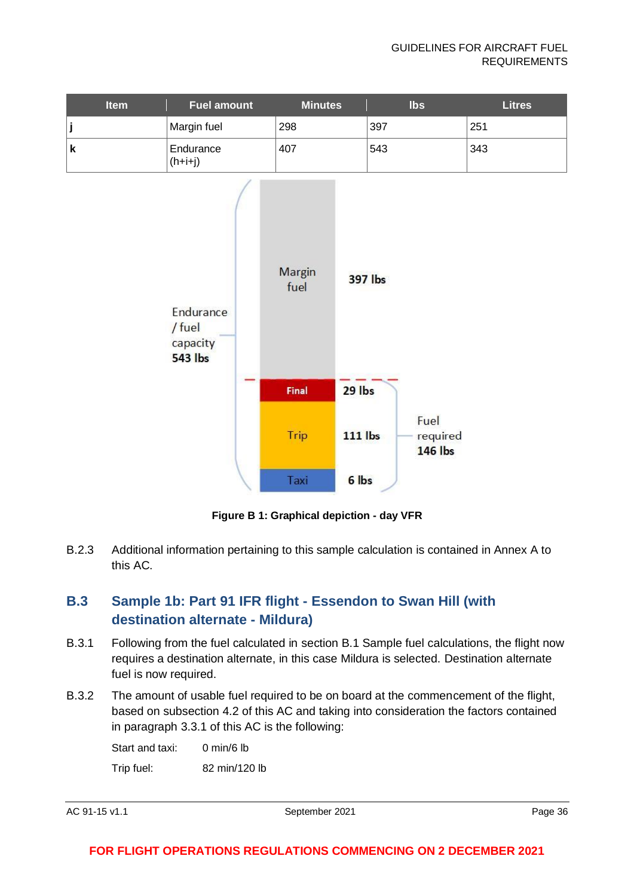

**Figure B 1: Graphical depiction - day VFR**

B.2.3 Additional information pertaining to this sample calculation is contained in Annex A to this AC.

#### **B.3 Sample 1b: Part 91 IFR flight - Essendon to Swan Hill (with destination alternate - Mildura)**

- B.3.1 Following from the fuel calculated in section [B.1](#page-35-0) [Sample fuel calculations,](#page-35-0) the flight now requires a destination alternate, in this case Mildura is selected. Destination alternate fuel is now required.
- B.3.2 The amount of usable fuel required to be on board at the commencement of the flight, based on subsection [4.2](#page-13-2) of this AC and taking into consideration the factors contained in paragraph [3.3.1](#page-11-5) of this AC is the following:

Start and taxi: 0 min/6 lb

Trip fuel: 82 min/120 lb

AC 91-15 v1.1 **September 2021** September 2021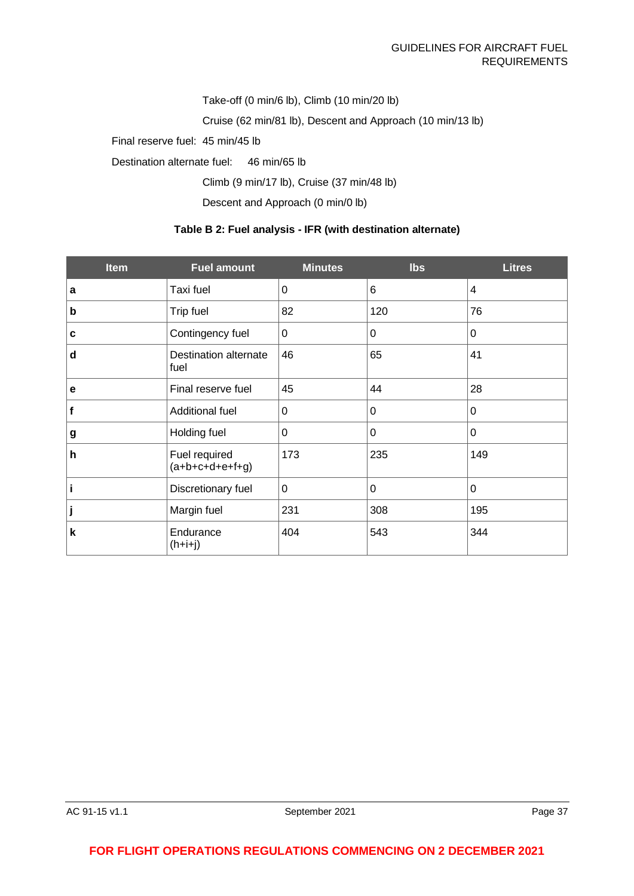#### Take-off (0 min/6 lb), Climb (10 min/20 lb)

Cruise (62 min/81 lb), Descent and Approach (10 min/13 lb)

Final reserve fuel: 45 min/45 lb

Destination alternate fuel: 46 min/65 lb

Climb (9 min/17 lb), Cruise (37 min/48 lb)

Descent and Approach (0 min/0 lb)

#### **Table B 2: Fuel analysis - IFR (with destination alternate)**

| <b>Item</b>  | <b>Fuel amount</b>                 | <b>Minutes</b> | Ibs             | <b>Litres</b>  |
|--------------|------------------------------------|----------------|-----------------|----------------|
| a            | Taxi fuel                          | 0              | $6\phantom{1}6$ | $\overline{4}$ |
| b            | Trip fuel                          | 82             | 120             | 76             |
| C            | Contingency fuel                   | 0              | 0               | $\Omega$       |
| d            | Destination alternate<br>fuel      | 46             | 65              | 41             |
| e            | Final reserve fuel                 | 45             | 44              | 28             |
| f            | <b>Additional fuel</b>             | 0              | 0               | 0              |
| g            | Holding fuel                       | 0              | 0               | 0              |
| $\mathsf{h}$ | Fuel required<br>$(a+b+c+d+e+f+g)$ | 173            | 235             | 149            |
|              | Discretionary fuel                 | 0              | $\mathbf 0$     | 0              |
|              | Margin fuel                        | 231            | 308             | 195            |
| $\mathbf k$  | Endurance<br>$(h+i+j)$             | 404            | 543             | 344            |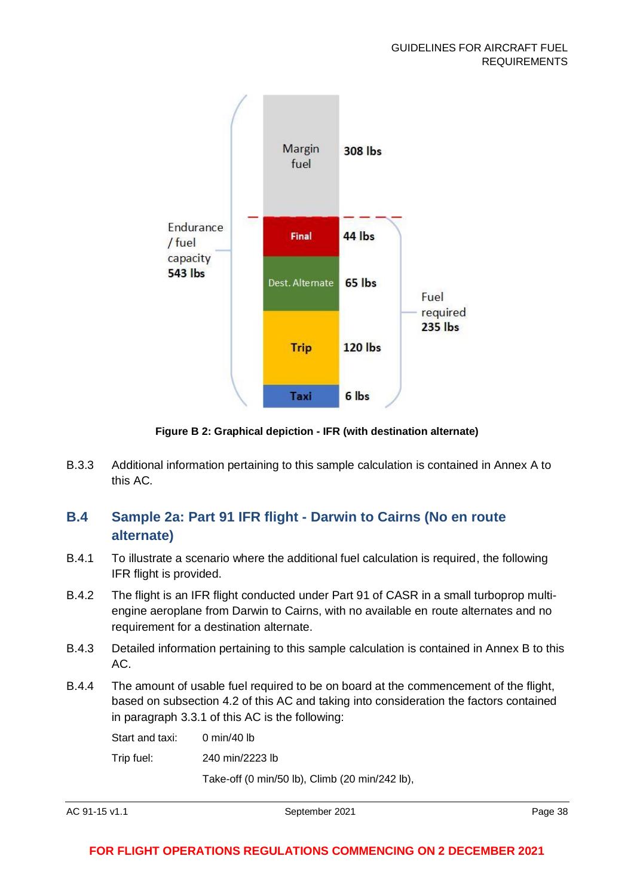

**Figure B 2: Graphical depiction - IFR (with destination alternate)**

B.3.3 Additional information pertaining to this sample calculation is contained in Annex A to this AC.

### **B.4 Sample 2a: Part 91 IFR flight - Darwin to Cairns (No en route alternate)**

- B.4.1 To illustrate a scenario where the additional fuel calculation is required, the following IFR flight is provided.
- B.4.2 The flight is an IFR flight conducted under Part 91 of CASR in a small turboprop multiengine aeroplane from Darwin to Cairns, with no available en route alternates and no requirement for a destination alternate.
- B.4.3 Detailed information pertaining to this sample calculation is contained in Annex B to this AC.
- B.4.4 The amount of usable fuel required to be on board at the commencement of the flight, based on subsection [4.2](#page-13-2) of this AC and taking into consideration the factors contained in paragraph [3.3.1](#page-11-5) of this AC is the following:

Start and taxi: 0 min/40 lb

Trip fuel: 240 min/2223 lb

Take-off (0 min/50 lb), Climb (20 min/242 lb),

AC 91-15 v1.1 Page 38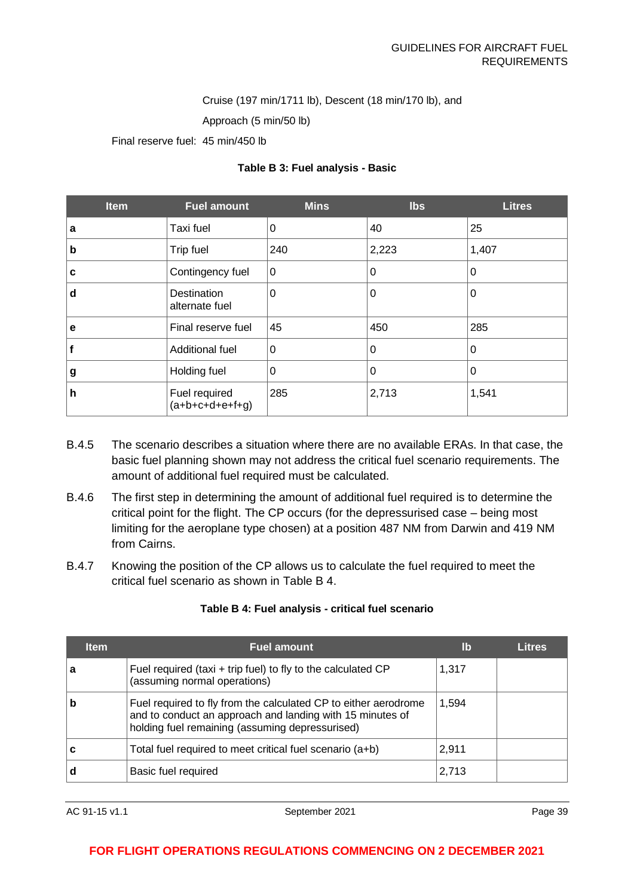Cruise (197 min/1711 lb), Descent (18 min/170 lb), and

Approach (5 min/50 lb)

Final reserve fuel: 45 min/450 lb

#### **Table B 3: Fuel analysis - Basic**

| <b>Item</b> | <b>Fuel amount</b>                 | <b>Mins</b> | Ibs   | <b>Litres</b> |
|-------------|------------------------------------|-------------|-------|---------------|
| a           | Taxi fuel                          | $\Omega$    | 40    | 25            |
| b           | Trip fuel                          | 240         | 2,223 | 1,407         |
| c           | Contingency fuel                   | $\mathbf 0$ | 0     | 0             |
| d           | Destination<br>alternate fuel      | 0           | 0     | 0             |
| е           | Final reserve fuel                 | 45          | 450   | 285           |
|             | Additional fuel                    | 0           | 0     | 0             |
| g           | Holding fuel                       | 0           | 0     | 0             |
| h           | Fuel required<br>$(a+b+c+d+e+f+g)$ | 285         | 2,713 | 1,541         |

- B.4.5 The scenario describes a situation where there are no available ERAs. In that case, the basic fuel planning shown may not address the critical fuel scenario requirements. The amount of additional fuel required must be calculated.
- B.4.6 The first step in determining the amount of additional fuel required is to determine the critical point for the flight. The CP occurs (for the depressurised case – being most limiting for the aeroplane type chosen) at a position 487 NM from Darwin and 419 NM from Cairns.
- <span id="page-39-0"></span>B.4.7 Knowing the position of the CP allows us to calculate the fuel required to meet the critical fuel scenario as shown in [Table B 4.](#page-39-0)

#### **Table B 4: Fuel analysis - critical fuel scenario**

| <b>Item</b> | <b>Fuel amount</b>                                                                                                                                                              | llo   | <b>Litres</b> |
|-------------|---------------------------------------------------------------------------------------------------------------------------------------------------------------------------------|-------|---------------|
| a           | Fuel required (taxi + trip fuel) to fly to the calculated CP<br>(assuming normal operations)                                                                                    | 1,317 |               |
| b           | Fuel required to fly from the calculated CP to either aerodrome<br>and to conduct an approach and landing with 15 minutes of<br>holding fuel remaining (assuming depressurised) | 1,594 |               |
| С           | Total fuel required to meet critical fuel scenario (a+b)                                                                                                                        | 2,911 |               |
| d           | Basic fuel required                                                                                                                                                             | 2,713 |               |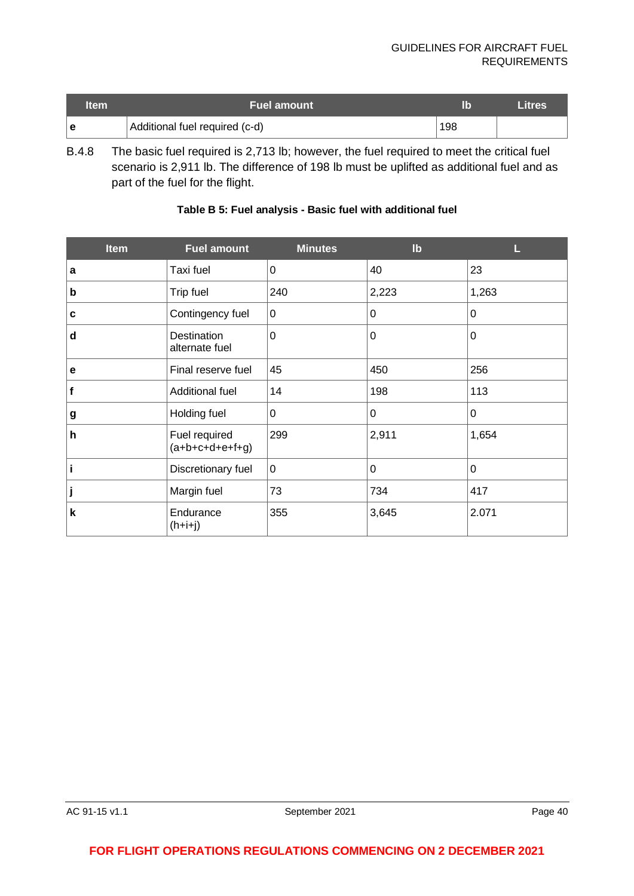#### GUIDELINES FOR AIRCRAFT FUEL REQUIREMENTS

| ltem | <b>Fuel amount</b>             |     | <b>Litres</b> |
|------|--------------------------------|-----|---------------|
| l e  | Additional fuel required (c-d) | 198 |               |

B.4.8 The basic fuel required is 2,713 lb; however, the fuel required to meet the critical fuel scenario is 2,911 lb. The difference of 198 lb must be uplifted as additional fuel and as part of the fuel for the flight.

| <b>Item</b>  | <b>Fuel amount</b>                 | <b>Minutes</b> | Ib    |             |
|--------------|------------------------------------|----------------|-------|-------------|
| a            | Taxi fuel                          | 0              | 40    | 23          |
| b            | Trip fuel                          | 240            | 2,223 | 1,263       |
| C            | Contingency fuel                   | 0              | 0     | $\Omega$    |
| d            | Destination<br>alternate fuel      | $\Omega$       | 0     | $\Omega$    |
| е            | Final reserve fuel                 | 45             | 450   | 256         |
| f            | Additional fuel                    | 14             | 198   | 113         |
| g            | Holding fuel                       | $\Omega$       | 0     | $\Omega$    |
| $\mathsf{h}$ | Fuel required<br>$(a+b+c+d+e+f+g)$ | 299            | 2,911 | 1,654       |
|              | Discretionary fuel                 | 0              | 0     | $\mathbf 0$ |
|              | Margin fuel                        | 73             | 734   | 417         |
| k            | Endurance<br>$(h+i+j)$             | 355            | 3,645 | 2.071       |

#### **Table B 5: Fuel analysis - Basic fuel with additional fuel**